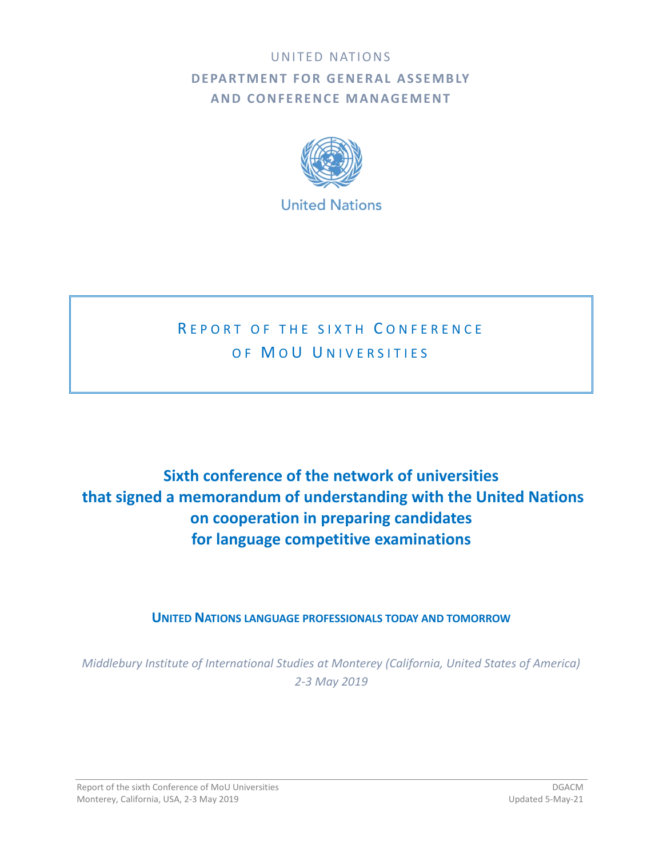## UNITED NATIONS **DEPARTMENT FOR GENERAL ASSEMBLY AND CONFERENCE MANAGEMENT**



# R F P O R T O F T H F SIX T H C O N F F R F N C F OF MOU UNIVERSITIES

# **Sixth conference of the network of universities that signed a memorandum of understanding with the United Nations on cooperation in preparing candidates for language competitive examinations**

## **UNITED NATIONS LANGUAGE PROFESSIONALS TODAY AND TOMORROW**

*Middlebury Institute of International Studies at Monterey (California, United States of America) 2-3 May 2019*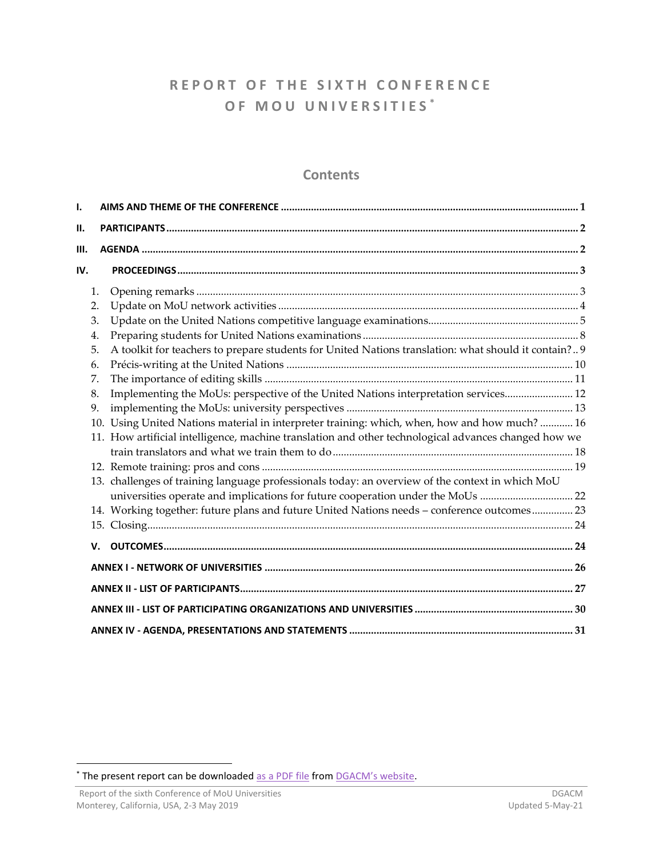## **R E P O R T O F T H E S I X T H C O N F E R E N C E O F M O U U N I V E R S I T I E S \***

## **Contents**

| I.   |    |                                                                                                      |  |  |
|------|----|------------------------------------------------------------------------------------------------------|--|--|
| П.   |    |                                                                                                      |  |  |
| III. |    |                                                                                                      |  |  |
| IV.  |    |                                                                                                      |  |  |
|      | 1. |                                                                                                      |  |  |
|      | 2. |                                                                                                      |  |  |
|      | 3. |                                                                                                      |  |  |
|      | 4. |                                                                                                      |  |  |
|      | 5. | A toolkit for teachers to prepare students for United Nations translation: what should it contain? 9 |  |  |
|      | 6. |                                                                                                      |  |  |
|      | 7. |                                                                                                      |  |  |
|      | 8. | Implementing the MoUs: perspective of the United Nations interpretation services 12                  |  |  |
|      | 9. |                                                                                                      |  |  |
|      |    | 10. Using United Nations material in interpreter training: which, when, how and how much?  16        |  |  |
|      |    | 11. How artificial intelligence, machine translation and other technological advances changed how we |  |  |
|      |    |                                                                                                      |  |  |
|      |    |                                                                                                      |  |  |
|      |    | 13. challenges of training language professionals today: an overview of the context in which MoU     |  |  |
|      |    | universities operate and implications for future cooperation under the MoUs 22                       |  |  |
|      |    | 14. Working together: future plans and future United Nations needs - conference outcomes 23          |  |  |
|      |    |                                                                                                      |  |  |
|      |    |                                                                                                      |  |  |
|      |    |                                                                                                      |  |  |
|      |    |                                                                                                      |  |  |
|      |    |                                                                                                      |  |  |
|      |    |                                                                                                      |  |  |

<sup>\*</sup> The present report can be downloaded [as a PDF file](https://www.un.org/dgacm/en/content/mou-network) from [DGACM's website](https://www.un.org/dgacm/en).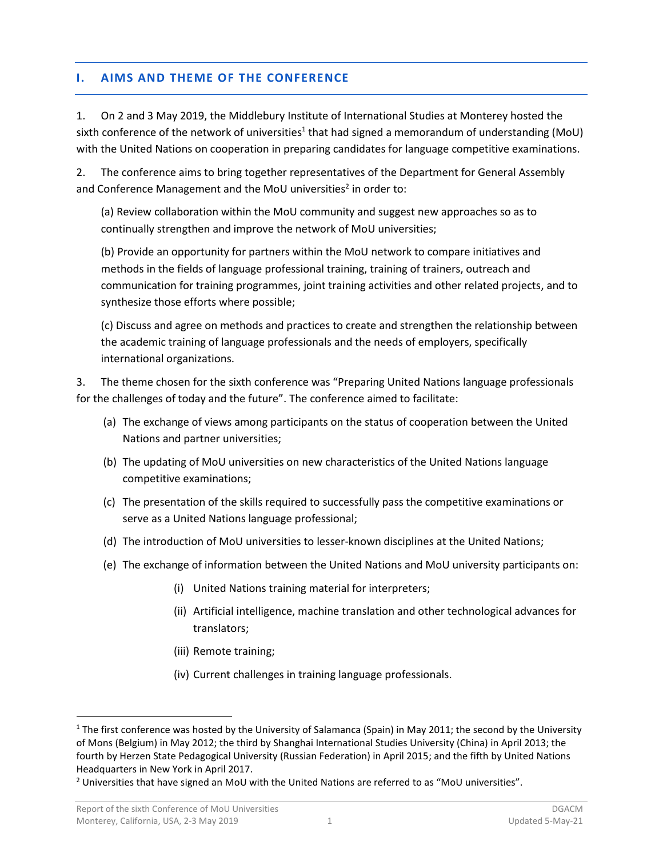### <span id="page-2-0"></span>**I. AIMS AND THEME OF THE CONFERENCE**

1. On 2 and 3 May 2019, the Middlebury Institute of International Studies at Monterey hosted the sixth conference of the network of universities<sup>1</sup> that had signed a memorandum of understanding (MoU) with the United Nations on cooperation in preparing candidates for language competitive examinations.

2. The conference aims to bring together representatives of the Department for General Assembly and Conference Management and the MoU universities<sup>2</sup> in order to:

(a) Review collaboration within the MoU community and suggest new approaches so as to continually strengthen and improve the network of MoU universities;

(b) Provide an opportunity for partners within the MoU network to compare initiatives and methods in the fields of language professional training, training of trainers, outreach and communication for training programmes, joint training activities and other related projects, and to synthesize those efforts where possible;

(c) Discuss and agree on methods and practices to create and strengthen the relationship between the academic training of language professionals and the needs of employers, specifically international organizations.

3. The theme chosen for the sixth conference was "Preparing United Nations language professionals for the challenges of today and the future". The conference aimed to facilitate:

- (a) The exchange of views among participants on the status of cooperation between the United Nations and partner universities;
- (b) The updating of MoU universities on new characteristics of the United Nations language competitive examinations;
- (c) The presentation of the skills required to successfully pass the competitive examinations or serve as a United Nations language professional;
- (d) The introduction of MoU universities to lesser-known disciplines at the United Nations;
- (e) The exchange of information between the United Nations and MoU university participants on:
	- (i) United Nations training material for interpreters;
	- (ii) Artificial intelligence, machine translation and other technological advances for translators;
	- (iii) Remote training;
	- (iv) Current challenges in training language professionals.

<sup>&</sup>lt;sup>1</sup> The first conference was hosted by the University of Salamanca (Spain) in May 2011; the second by the University of Mons (Belgium) in May 2012; the third by Shanghai International Studies University (China) in April 2013; the fourth by Herzen State Pedagogical University (Russian Federation) in April 2015; and the fifth by United Nations Headquarters in New York in April 2017.

<sup>&</sup>lt;sup>2</sup> Universities that have signed an MoU with the United Nations are referred to as "MoU universities".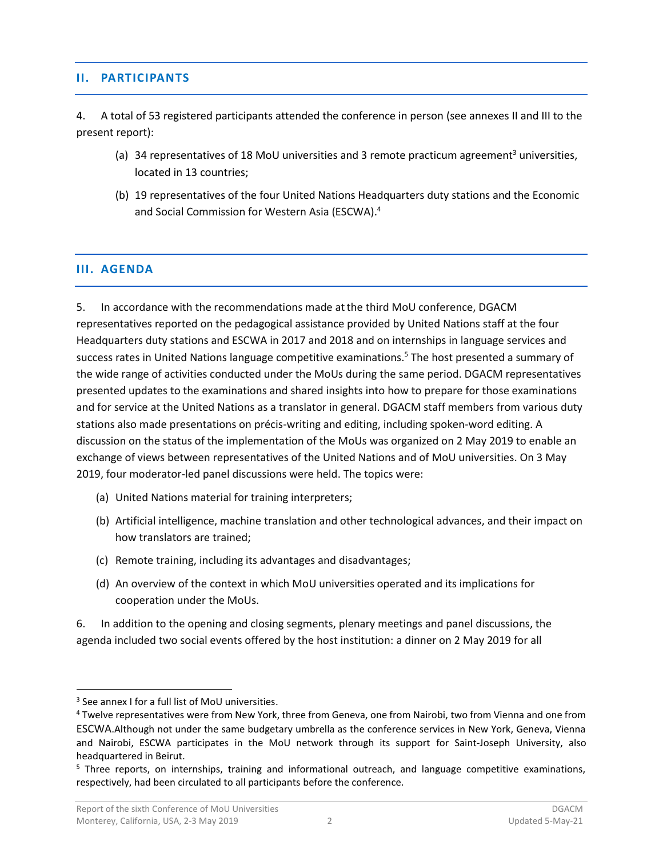#### <span id="page-3-0"></span>**II. PARTICIPANTS**

4. A total of 53 registered participants attended the conference in person (see [annexes](#page-27-1) II and III to the present report):

- (a) 34 representatives of 18 MoU universities and 3 remote practicum agreement<sup>3</sup> universities, located in 13 countries;
- (b) 19 representatives of the four United Nations Headquarters duty stations and the Economic and Social Commission for Western Asia (ESCWA). 4

#### <span id="page-3-1"></span>**III. AGENDA**

5. In accordance with the recommendations made atthe third MoU conference, DGACM representatives reported on the pedagogical assistance provided by United Nations staff at the four Headquarters duty stations and ESCWA in 2017 and 2018 and on internships in language services and success rates in United Nations language competitive examinations.<sup>5</sup> The host presented a summary of the wide range of activities conducted under the MoUs during the same period. DGACM representatives presented updates to the examinations and shared insights into how to prepare for those examinations and for service at the United Nations as a translator in general. DGACM staff members from various duty stations also made presentations on précis-writing and editing, including spoken-word editing. A discussion on the status of the implementation of the MoUs was organized on 2 May 2019 to enable an exchange of views between representatives of the United Nations and of MoU universities. On 3 May 2019, four moderator-led panel discussions were held. The topics were:

- (a) United Nations material for training interpreters;
- (b) Artificial intelligence, machine translation and other technological advances, and their impact on how translators are trained;
- (c) Remote training, including its advantages and disadvantages;
- (d) An overview of the context in which MoU universities operated and its implications for cooperation under the MoUs.

6. In addition to the opening and closing segments, plenary meetings and panel discussions, the agenda included two social events offered by the host institution: a dinner on 2 May 2019 for all

<sup>&</sup>lt;sup>3</sup> See annex I for a full list of MoU universities.

<sup>4</sup> Twelve representatives were from New York, three from Geneva, one from Nairobi, two from Vienna and one from ESCWA.Although not under the same budgetary umbrella as the conference services in New York, Geneva, Vienna and Nairobi, ESCWA participates in the MoU network through its support for Saint-Joseph University, also headquartered in Beirut.

<sup>&</sup>lt;sup>5</sup> Three reports, on internships, training and informational outreach, and language competitive examinations, respectively, had been circulated to all participants before the conference.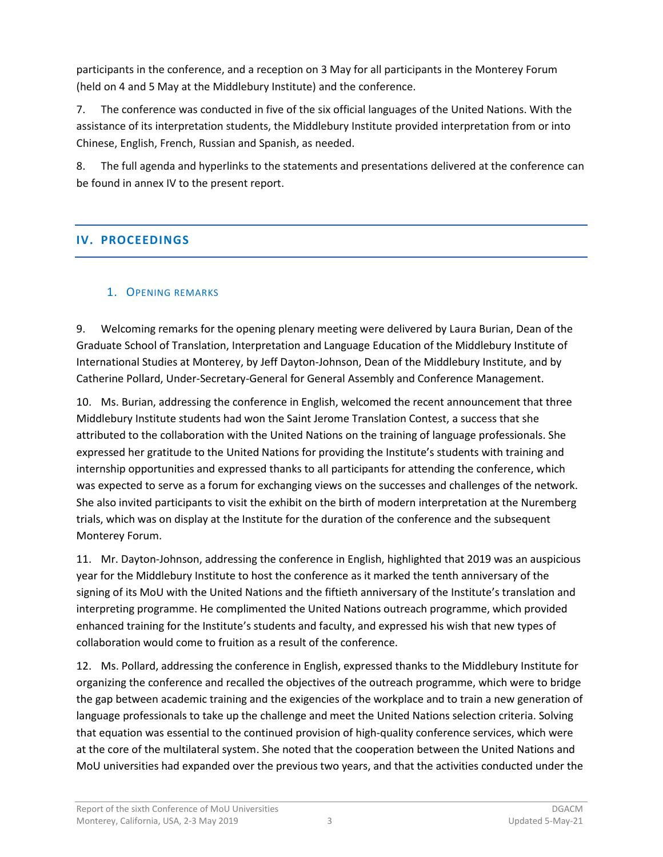participants in the conference, and a reception on 3 May for all participants in the Monterey Forum (held on 4 and 5 May at the Middlebury Institute) and the conference.

7. The conference was conducted in five of the six official languages of the United Nations. With the assistance of its interpretation students, the Middlebury Institute provided interpretation from or into Chinese, English, French, Russian and Spanish, as needed.

8. The full agenda and hyperlinks to the statements and presentations delivered at the conference can be found in annex IV to the present report.

## <span id="page-4-0"></span>**IV. PROCEEDINGS**

## <span id="page-4-1"></span>1. OPENING REMARKS

9. Welcoming remarks for the opening plenary meeting were delivered by Laura Burian, Dean of the Graduate School of Translation, Interpretation and Language Education of the Middlebury Institute of International Studies at Monterey, by Jeff Dayton-Johnson, Dean of the Middlebury Institute, and by Catherine Pollard, Under-Secretary-General for General Assembly and Conference Management.

10. Ms. Burian, addressing the conference in English, welcomed the recent announcement that three Middlebury Institute students had won the Saint Jerome Translation Contest, a success that she attributed to the collaboration with the United Nations on the training of language professionals. She expressed her gratitude to the United Nations for providing the Institute's students with training and internship opportunities and expressed thanks to all participants for attending the conference, which was expected to serve as a forum for exchanging views on the successes and challenges of the network. She also invited participants to visit the exhibit on the birth of modern interpretation at the Nuremberg trials, which was on display at the Institute for the duration of the conference and the subsequent Monterey Forum.

11. Mr. Dayton-Johnson, addressing the conference in English, highlighted that 2019 was an auspicious year for the Middlebury Institute to host the conference as it marked the tenth anniversary of the signing of its MoU with the United Nations and the fiftieth anniversary of the Institute's translation and interpreting programme. He complimented the United Nations outreach programme, which provided enhanced training for the Institute's students and faculty, and expressed his wish that new types of collaboration would come to fruition as a result of the conference.

12. Ms. Pollard, addressing the conference in English, expressed thanks to the Middlebury Institute for organizing the conference and recalled the objectives of the outreach programme, which were to bridge the gap between academic training and the exigencies of the workplace and to train a new generation of language professionals to take up the challenge and meet the United Nations selection criteria. Solving that equation was essential to the continued provision of high-quality conference services, which were at the core of the multilateral system. She noted that the cooperation between the United Nations and MoU universities had expanded over the previous two years, and that the activities conducted under the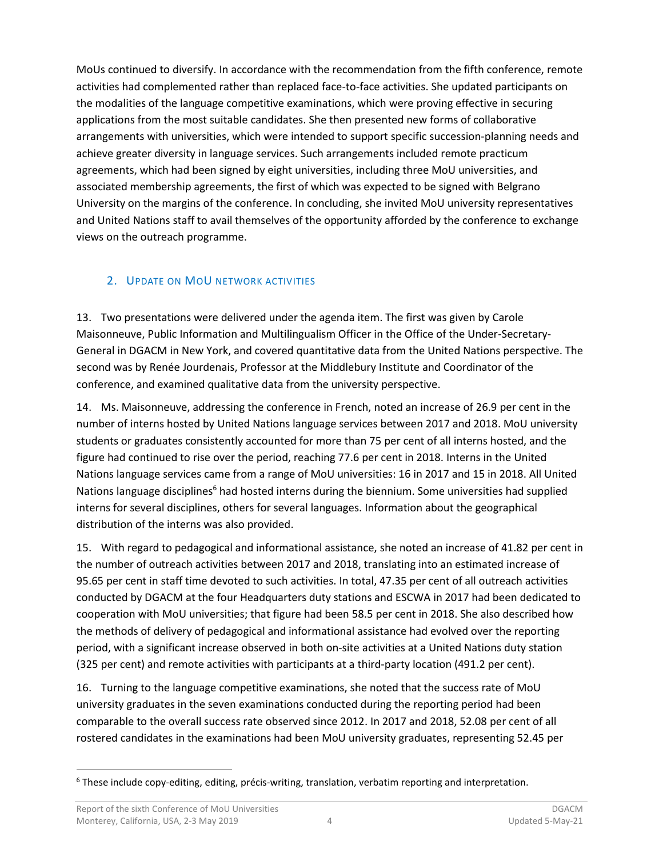MoUs continued to diversify. In accordance with the recommendation from the fifth conference, remote activities had complemented rather than replaced face-to-face activities. She updated participants on the modalities of the language competitive examinations, which were proving effective in securing applications from the most suitable candidates. She then presented new forms of collaborative arrangements with universities, which were intended to support specific succession-planning needs and achieve greater diversity in language services. Such arrangements included remote practicum agreements, which had been signed by eight universities, including three MoU universities, and associated membership agreements, the first of which was expected to be signed with Belgrano University on the margins of the conference. In concluding, she invited MoU university representatives and United Nations staff to avail themselves of the opportunity afforded by the conference to exchange views on the outreach programme.

## <span id="page-5-0"></span>2. UPDATE ON MOU NETWORK ACTIVITIES

13. Two presentations were delivered under the agenda item. The first was given by Carole Maisonneuve, Public Information and Multilingualism Officer in the Office of the Under-Secretary-General in DGACM in New York, and covered quantitative data from the United Nations perspective. The second was by Renée Jourdenais, Professor at the Middlebury Institute and Coordinator of the conference, and examined qualitative data from the university perspective.

14. Ms. Maisonneuve, addressing the conference in French, noted an increase of 26.9 per cent in the number of interns hosted by United Nations language services between 2017 and 2018. MoU university students or graduates consistently accounted for more than 75 per cent of all interns hosted, and the figure had continued to rise over the period, reaching 77.6 per cent in 2018. Interns in the United Nations language services came from a range of MoU universities: 16 in 2017 and 15 in 2018. All United Nations language disciplines<sup>6</sup> had hosted interns during the biennium. Some universities had supplied interns for several disciplines, others for several languages. Information about the geographical distribution of the interns was also provided.

15. With regard to pedagogical and informational assistance, she noted an increase of 41.82 per cent in the number of outreach activities between 2017 and 2018, translating into an estimated increase of 95.65 per cent in staff time devoted to such activities. In total, 47.35 per cent of all outreach activities conducted by DGACM at the four Headquarters duty stations and ESCWA in 2017 had been dedicated to cooperation with MoU universities; that figure had been 58.5 per cent in 2018. She also described how the methods of delivery of pedagogical and informational assistance had evolved over the reporting period, with a significant increase observed in both on-site activities at a United Nations duty station (325 per cent) and remote activities with participants at a third-party location (491.2 per cent).

16. Turning to the language competitive examinations, she noted that the success rate of MoU university graduates in the seven examinations conducted during the reporting period had been comparable to the overall success rate observed since 2012. In 2017 and 2018, 52.08 per cent of all rostered candidates in the examinations had been MoU university graduates, representing 52.45 per

<sup>6</sup> These include copy-editing, editing, précis-writing, translation, verbatim reporting and interpretation.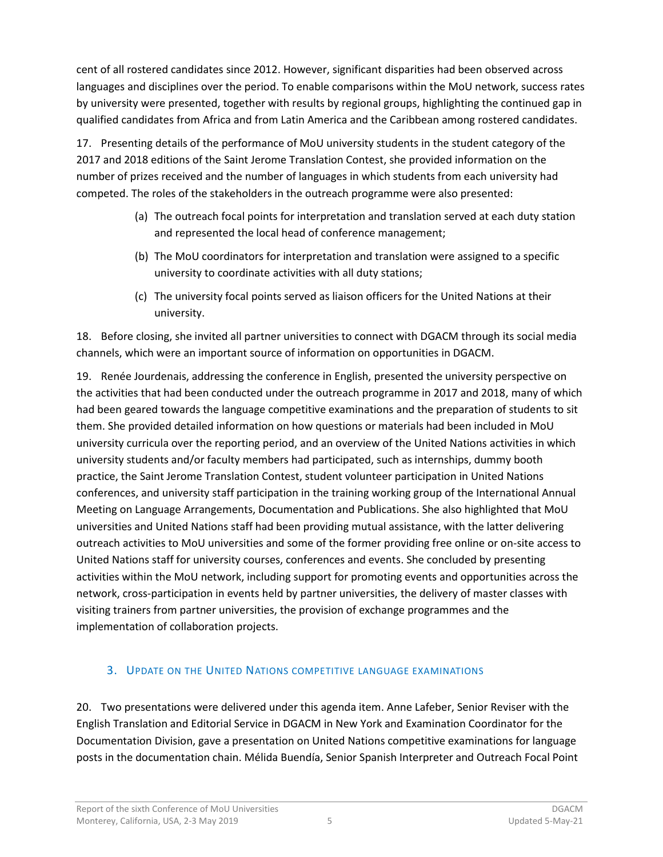cent of all rostered candidates since 2012. However, significant disparities had been observed across languages and disciplines over the period. To enable comparisons within the MoU network, success rates by university were presented, together with results by regional groups, highlighting the continued gap in qualified candidates from Africa and from Latin America and the Caribbean among rostered candidates.

17. Presenting details of the performance of MoU university students in the student category of the 2017 and 2018 editions of the Saint Jerome Translation Contest, she provided information on the number of prizes received and the number of languages in which students from each university had competed. The roles of the stakeholders in the outreach programme were also presented:

- (a) The outreach focal points for interpretation and translation served at each duty station and represented the local head of conference management;
- (b) The MoU coordinators for interpretation and translation were assigned to a specific university to coordinate activities with all duty stations;
- (c) The university focal points served as liaison officers for the United Nations at their university.

18. Before closing, she invited all partner universities to connect with DGACM through its social media channels, which were an important source of information on opportunities in DGACM.

19. Renée Jourdenais, addressing the conference in English, presented the university perspective on the activities that had been conducted under the outreach programme in 2017 and 2018, many of which had been geared towards the language competitive examinations and the preparation of students to sit them. She provided detailed information on how questions or materials had been included in MoU university curricula over the reporting period, and an overview of the United Nations activities in which university students and/or faculty members had participated, such as internships, dummy booth practice, the Saint Jerome Translation Contest, student volunteer participation in United Nations conferences, and university staff participation in the training working group of the International Annual Meeting on Language Arrangements, Documentation and Publications. She also highlighted that MoU universities and United Nations staff had been providing mutual assistance, with the latter delivering outreach activities to MoU universities and some of the former providing free online or on-site access to United Nations staff for university courses, conferences and events. She concluded by presenting activities within the MoU network, including support for promoting events and opportunities across the network, cross-participation in events held by partner universities, the delivery of master classes with visiting trainers from partner universities, the provision of exchange programmes and the implementation of collaboration projects.

## <span id="page-6-0"></span>3. UPDATE ON THE UNITED NATIONS COMPETITIVE LANGUAGE EXAMINATIONS

20. Two presentations were delivered under this agenda item. Anne Lafeber, Senior Reviser with the English Translation and Editorial Service in DGACM in New York and Examination Coordinator for the Documentation Division, gave a presentation on United Nations competitive examinations for language posts in the documentation chain. Mélida Buendía, Senior Spanish Interpreter and Outreach Focal Point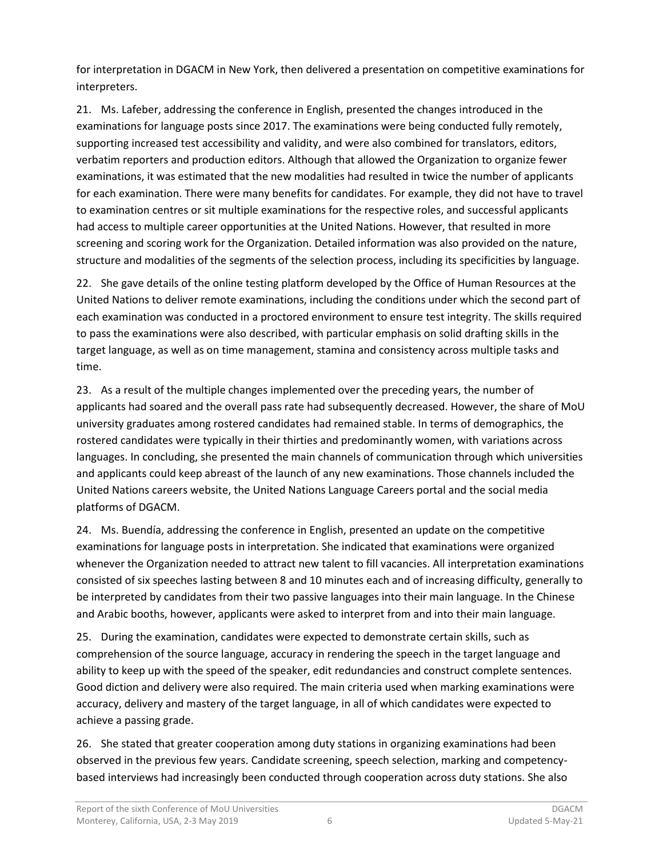for interpretation in DGACM in New York, then delivered a presentation on competitive examinations for interpreters.

21. Ms. Lafeber, addressing the conference in English, presented the changes introduced in the examinations for language posts since 2017. The examinations were being conducted fully remotely, supporting increased test accessibility and validity, and were also combined for translators, editors, verbatim reporters and production editors. Although that allowed the Organization to organize fewer examinations, it was estimated that the new modalities had resulted in twice the number of applicants for each examination. There were many benefits for candidates. For example, they did not have to travel to examination centres or sit multiple examinations for the respective roles, and successful applicants had access to multiple career opportunities at the United Nations. However, that resulted in more screening and scoring work for the Organization. Detailed information was also provided on the nature, structure and modalities of the segments of the selection process, including its specificities by language.

22. She gave details of the online testing platform developed by the Office of Human Resources at the United Nations to deliver remote examinations, including the conditions under which the second part of each examination was conducted in a proctored environment to ensure test integrity. The skills required to pass the examinations were also described, with particular emphasis on solid drafting skills in the target language, as well as on time management, stamina and consistency across multiple tasks and time.

23. As a result of the multiple changes implemented over the preceding years, the number of applicants had soared and the overall pass rate had subsequently decreased. However, the share of MoU university graduates among rostered candidates had remained stable. In terms of demographics, the rostered candidates were typically in their thirties and predominantly women, with variations across languages. In concluding, she presented the main channels of communication through which universities and applicants could keep abreast of the launch of any new examinations. Those channels included the United Nations careers website, the United Nations Language Careers portal and the social media platforms of DGACM.

24. Ms. Buendía, addressing the conference in English, presented an update on the competitive examinations for language posts in interpretation. She indicated that examinations were organized whenever the Organization needed to attract new talent to fill vacancies. All interpretation examinations consisted of six speeches lasting between 8 and 10 minutes each and of increasing difficulty, generally to be interpreted by candidates from their two passive languages into their main language. In the Chinese and Arabic booths, however, applicants were asked to interpret from and into their main language.

25. During the examination, candidates were expected to demonstrate certain skills, such as comprehension of the source language, accuracy in rendering the speech in the target language and ability to keep up with the speed of the speaker, edit redundancies and construct complete sentences. Good diction and delivery were also required. The main criteria used when marking examinations were accuracy, delivery and mastery of the target language, in all of which candidates were expected to achieve a passing grade.

26. She stated that greater cooperation among duty stations in organizing examinations had been observed in the previous few years. Candidate screening, speech selection, marking and competencybased interviews had increasingly been conducted through cooperation across duty stations. She also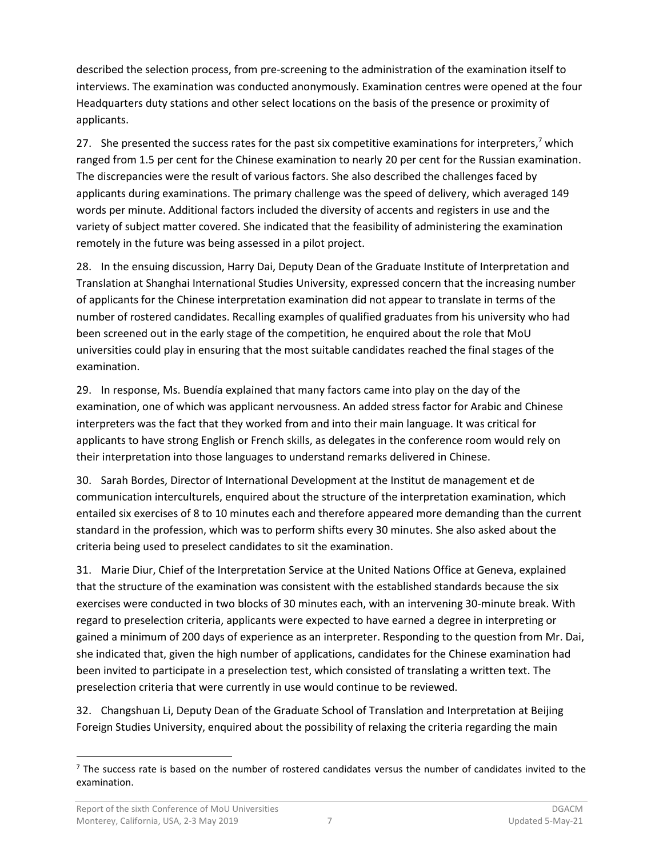described the selection process, from pre-screening to the administration of the examination itself to interviews. The examination was conducted anonymously. Examination centres were opened at the four Headquarters duty stations and other select locations on the basis of the presence or proximity of applicants.

27. She presented the success rates for the past six competitive examinations for interpreters,<sup>7</sup> which ranged from 1.5 per cent for the Chinese examination to nearly 20 per cent for the Russian examination. The discrepancies were the result of various factors. She also described the challenges faced by applicants during examinations. The primary challenge was the speed of delivery, which averaged 149 words per minute. Additional factors included the diversity of accents and registers in use and the variety of subject matter covered. She indicated that the feasibility of administering the examination remotely in the future was being assessed in a pilot project.

28. In the ensuing discussion, Harry Dai, Deputy Dean of the Graduate Institute of Interpretation and Translation at Shanghai International Studies University, expressed concern that the increasing number of applicants for the Chinese interpretation examination did not appear to translate in terms of the number of rostered candidates. Recalling examples of qualified graduates from his university who had been screened out in the early stage of the competition, he enquired about the role that MoU universities could play in ensuring that the most suitable candidates reached the final stages of the examination.

29. In response, Ms. Buendía explained that many factors came into play on the day of the examination, one of which was applicant nervousness. An added stress factor for Arabic and Chinese interpreters was the fact that they worked from and into their main language. It was critical for applicants to have strong English or French skills, as delegates in the conference room would rely on their interpretation into those languages to understand remarks delivered in Chinese.

30. Sarah Bordes, Director of International Development at the Institut de management et de communication interculturels, enquired about the structure of the interpretation examination, which entailed six exercises of 8 to 10 minutes each and therefore appeared more demanding than the current standard in the profession, which was to perform shifts every 30 minutes. She also asked about the criteria being used to preselect candidates to sit the examination.

31. Marie Diur, Chief of the Interpretation Service at the United Nations Office at Geneva, explained that the structure of the examination was consistent with the established standards because the six exercises were conducted in two blocks of 30 minutes each, with an intervening 30-minute break. With regard to preselection criteria, applicants were expected to have earned a degree in interpreting or gained a minimum of 200 days of experience as an interpreter. Responding to the question from Mr. Dai, she indicated that, given the high number of applications, candidates for the Chinese examination had been invited to participate in a preselection test, which consisted of translating a written text. The preselection criteria that were currently in use would continue to be reviewed.

32. Changshuan Li, Deputy Dean of the Graduate School of Translation and Interpretation at Beijing Foreign Studies University, enquired about the possibility of relaxing the criteria regarding the main

 $<sup>7</sup>$  The success rate is based on the number of rostered candidates versus the number of candidates invited to the</sup> examination.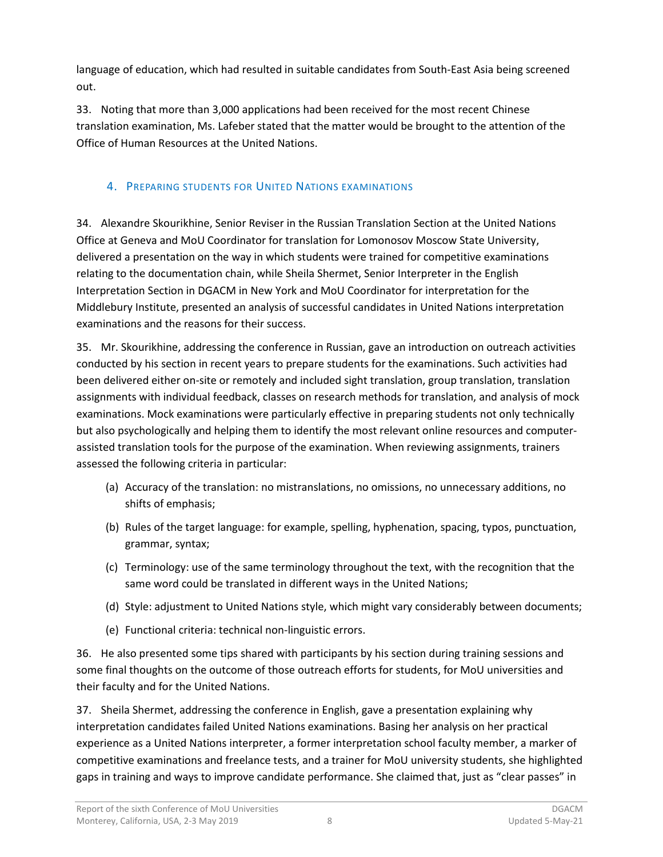language of education, which had resulted in suitable candidates from South-East Asia being screened out.

33. Noting that more than 3,000 applications had been received for the most recent Chinese translation examination, Ms. Lafeber stated that the matter would be brought to the attention of the Office of Human Resources at the United Nations.

## <span id="page-9-0"></span>4. PREPARING STUDENTS FOR UNITED NATIONS EXAMINATIONS

34. Alexandre Skourikhine, Senior Reviser in the Russian Translation Section at the United Nations Office at Geneva and MoU Coordinator for translation for Lomonosov Moscow State University, delivered a presentation on the way in which students were trained for competitive examinations relating to the documentation chain, while Sheila Shermet, Senior Interpreter in the English Interpretation Section in DGACM in New York and MoU Coordinator for interpretation for the Middlebury Institute, presented an analysis of successful candidates in United Nations interpretation examinations and the reasons for their success.

35. Mr. Skourikhine, addressing the conference in Russian, gave an introduction on outreach activities conducted by his section in recent years to prepare students for the examinations. Such activities had been delivered either on-site or remotely and included sight translation, group translation, translation assignments with individual feedback, classes on research methods for translation, and analysis of mock examinations. Mock examinations were particularly effective in preparing students not only technically but also psychologically and helping them to identify the most relevant online resources and computerassisted translation tools for the purpose of the examination. When reviewing assignments, trainers assessed the following criteria in particular:

- (a) Accuracy of the translation: no mistranslations, no omissions, no unnecessary additions, no shifts of emphasis;
- (b) Rules of the target language: for example, spelling, hyphenation, spacing, typos, punctuation, grammar, syntax;
- (c) Terminology: use of the same terminology throughout the text, with the recognition that the same word could be translated in different ways in the United Nations;
- (d) Style: adjustment to United Nations style, which might vary considerably between documents;
- (e) Functional criteria: technical non-linguistic errors.

36. He also presented some tips shared with participants by his section during training sessions and some final thoughts on the outcome of those outreach efforts for students, for MoU universities and their faculty and for the United Nations.

37. Sheila Shermet, addressing the conference in English, gave a presentation explaining why interpretation candidates failed United Nations examinations. Basing her analysis on her practical experience as a United Nations interpreter, a former interpretation school faculty member, a marker of competitive examinations and freelance tests, and a trainer for MoU university students, she highlighted gaps in training and ways to improve candidate performance. She claimed that, just as "clear passes" in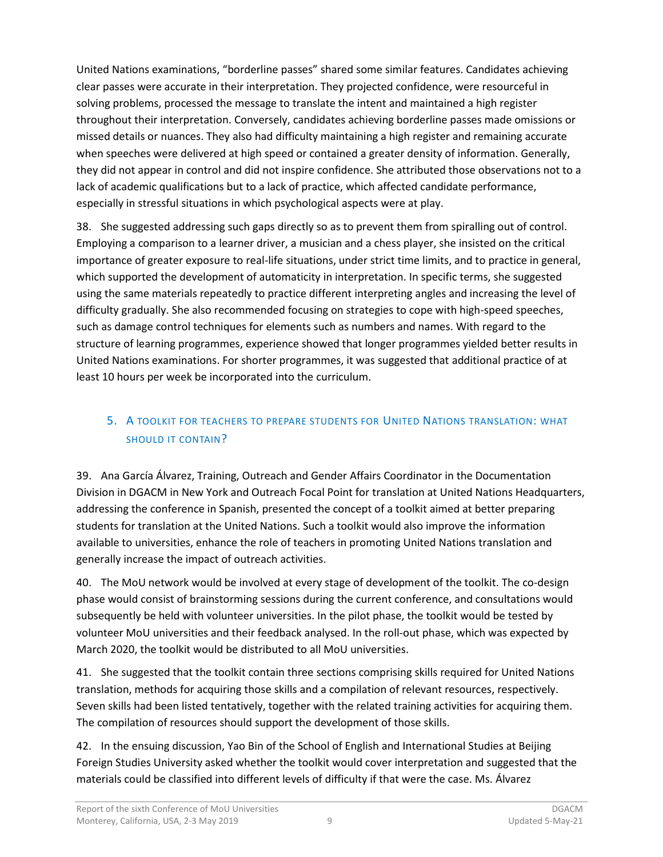United Nations examinations, "borderline passes" shared some similar features. Candidates achieving clear passes were accurate in their interpretation. They projected confidence, were resourceful in solving problems, processed the message to translate the intent and maintained a high register throughout their interpretation. Conversely, candidates achieving borderline passes made omissions or missed details or nuances. They also had difficulty maintaining a high register and remaining accurate when speeches were delivered at high speed or contained a greater density of information. Generally, they did not appear in control and did not inspire confidence. She attributed those observations not to a lack of academic qualifications but to a lack of practice, which affected candidate performance, especially in stressful situations in which psychological aspects were at play.

38. She suggested addressing such gaps directly so as to prevent them from spiralling out of control. Employing a comparison to a learner driver, a musician and a chess player, she insisted on the critical importance of greater exposure to real-life situations, under strict time limits, and to practice in general, which supported the development of automaticity in interpretation. In specific terms, she suggested using the same materials repeatedly to practice different interpreting angles and increasing the level of difficulty gradually. She also recommended focusing on strategies to cope with high-speed speeches, such as damage control techniques for elements such as numbers and names. With regard to the structure of learning programmes, experience showed that longer programmes yielded better results in United Nations examinations. For shorter programmes, it was suggested that additional practice of at least 10 hours per week be incorporated into the curriculum.

## <span id="page-10-0"></span>5. A TOOLKIT FOR TEACHERS TO PREPARE STUDENTS FOR UNITED NATIONS TRANSLATION: WHAT SHOULD IT CONTAIN?

39. Ana García Álvarez, Training, Outreach and Gender Affairs Coordinator in the Documentation Division in DGACM in New York and Outreach Focal Point for translation at United Nations Headquarters, addressing the conference in Spanish, presented the concept of a toolkit aimed at better preparing students for translation at the United Nations. Such a toolkit would also improve the information available to universities, enhance the role of teachers in promoting United Nations translation and generally increase the impact of outreach activities.

40. The MoU network would be involved at every stage of development of the toolkit. The co-design phase would consist of brainstorming sessions during the current conference, and consultations would subsequently be held with volunteer universities. In the pilot phase, the toolkit would be tested by volunteer MoU universities and their feedback analysed. In the roll-out phase, which was expected by March 2020, the toolkit would be distributed to all MoU universities.

41. She suggested that the toolkit contain three sections comprising skills required for United Nations translation, methods for acquiring those skills and a compilation of relevant resources, respectively. Seven skills had been listed tentatively, together with the related training activities for acquiring them. The compilation of resources should support the development of those skills.

42. In the ensuing discussion, Yao Bin of the School of English and International Studies at Beijing Foreign Studies University asked whether the toolkit would cover interpretation and suggested that the materials could be classified into different levels of difficulty if that were the case. Ms. Álvarez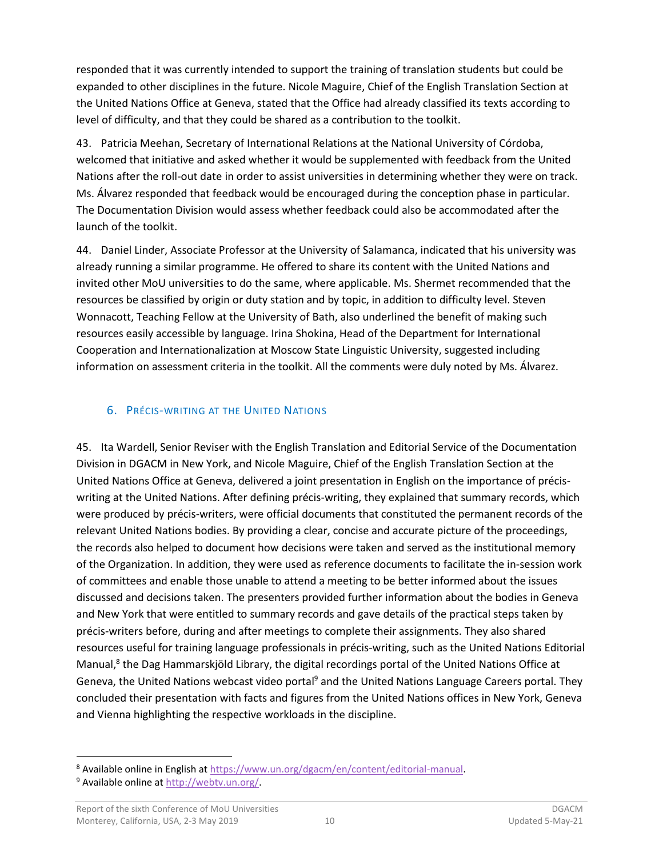responded that it was currently intended to support the training of translation students but could be expanded to other disciplines in the future. Nicole Maguire, Chief of the English Translation Section at the United Nations Office at Geneva, stated that the Office had already classified its texts according to level of difficulty, and that they could be shared as a contribution to the toolkit.

43. Patricia Meehan, Secretary of International Relations at the National University of Córdoba, welcomed that initiative and asked whether it would be supplemented with feedback from the United Nations after the roll-out date in order to assist universities in determining whether they were on track. Ms. Álvarez responded that feedback would be encouraged during the conception phase in particular. The Documentation Division would assess whether feedback could also be accommodated after the launch of the toolkit.

44. Daniel Linder, Associate Professor at the University of Salamanca, indicated that his university was already running a similar programme. He offered to share its content with the United Nations and invited other MoU universities to do the same, where applicable. Ms. Shermet recommended that the resources be classified by origin or duty station and by topic, in addition to difficulty level. Steven Wonnacott, Teaching Fellow at the University of Bath, also underlined the benefit of making such resources easily accessible by language. Irina Shokina, Head of the Department for International Cooperation and Internationalization at Moscow State Linguistic University, suggested including information on assessment criteria in the toolkit. All the comments were duly noted by Ms. Álvarez.

#### <span id="page-11-0"></span>6. PRÉCIS-WRITING AT THE UNITED NATIONS

45. Ita Wardell, Senior Reviser with the English Translation and Editorial Service of the Documentation Division in DGACM in New York, and Nicole Maguire, Chief of the English Translation Section at the United Nations Office at Geneva, delivered a joint presentation in English on the importance of préciswriting at the United Nations. After defining précis-writing, they explained that summary records, which were produced by précis-writers, were official documents that constituted the permanent records of the relevant United Nations bodies. By providing a clear, concise and accurate picture of the proceedings, the records also helped to document how decisions were taken and served as the institutional memory of the Organization. In addition, they were used as reference documents to facilitate the in-session work of committees and enable those unable to attend a meeting to be better informed about the issues discussed and decisions taken. The presenters provided further information about the bodies in Geneva and New York that were entitled to summary records and gave details of the practical steps taken by précis-writers before, during and after meetings to complete their assignments. They also shared resources useful for training language professionals in précis-writing, such as the United Nations Editorial Manual,<sup>8</sup> the Dag Hammarskjöld Library, the digital recordings portal of the United Nations Office at Geneva, the United Nations webcast video portal<sup>9</sup> and the United Nations Language Careers portal. They concluded their presentation with facts and figures from the United Nations offices in New York, Geneva and Vienna highlighting the respective workloads in the discipline.

<sup>8</sup> Available online in English at [https://www.un.org/dgacm/en/content/editorial-manual.](https://www.un.org/dgacm/en/content/editorial-manual)

<sup>&</sup>lt;sup>9</sup> Available online at http://webtv.un.org/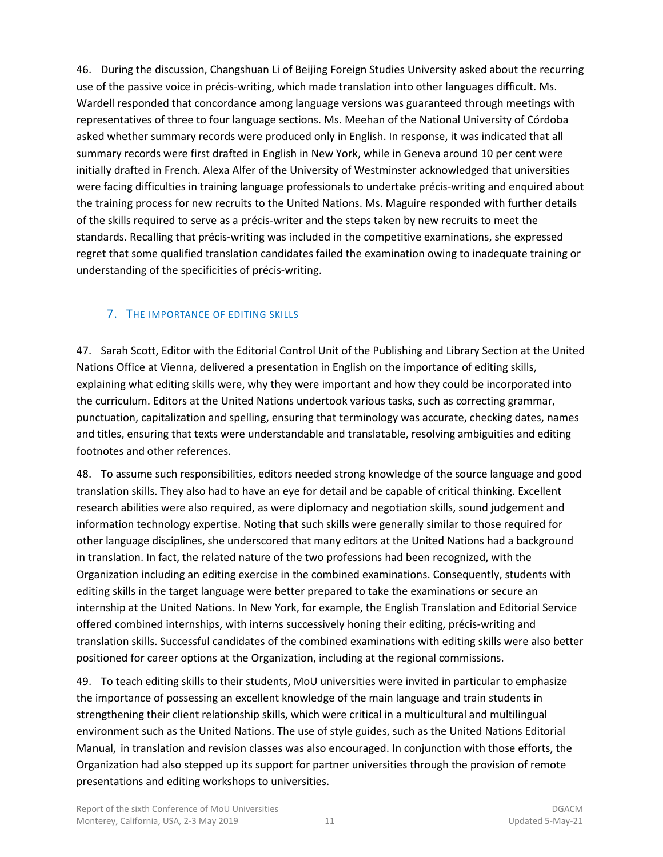46. During the discussion, Changshuan Li of Beijing Foreign Studies University asked about the recurring use of the passive voice in précis-writing, which made translation into other languages difficult. Ms. Wardell responded that concordance among language versions was guaranteed through meetings with representatives of three to four language sections. Ms. Meehan of the National University of Córdoba asked whether summary records were produced only in English. In response, it was indicated that all summary records were first drafted in English in New York, while in Geneva around 10 per cent were initially drafted in French. Alexa Alfer of the University of Westminster acknowledged that universities were facing difficulties in training language professionals to undertake précis-writing and enquired about the training process for new recruits to the United Nations. Ms. Maguire responded with further details of the skills required to serve as a précis-writer and the steps taken by new recruits to meet the standards. Recalling that précis-writing was included in the competitive examinations, she expressed regret that some qualified translation candidates failed the examination owing to inadequate training or understanding of the specificities of précis-writing.

## <span id="page-12-0"></span>7. THE IMPORTANCE OF EDITING SKILLS

47. Sarah Scott, Editor with the Editorial Control Unit of the Publishing and Library Section at the United Nations Office at Vienna, delivered a presentation in English on the importance of editing skills, explaining what editing skills were, why they were important and how they could be incorporated into the curriculum. Editors at the United Nations undertook various tasks, such as correcting grammar, punctuation, capitalization and spelling, ensuring that terminology was accurate, checking dates, names and titles, ensuring that texts were understandable and translatable, resolving ambiguities and editing footnotes and other references.

48. To assume such responsibilities, editors needed strong knowledge of the source language and good translation skills. They also had to have an eye for detail and be capable of critical thinking. Excellent research abilities were also required, as were diplomacy and negotiation skills, sound judgement and information technology expertise. Noting that such skills were generally similar to those required for other language disciplines, she underscored that many editors at the United Nations had a background in translation. In fact, the related nature of the two professions had been recognized, with the Organization including an editing exercise in the combined examinations. Consequently, students with editing skills in the target language were better prepared to take the examinations or secure an internship at the United Nations. In New York, for example, the English Translation and Editorial Service offered combined internships, with interns successively honing their editing, précis-writing and translation skills. Successful candidates of the combined examinations with editing skills were also better positioned for career options at the Organization, including at the regional commissions.

49. To teach editing skills to their students, MoU universities were invited in particular to emphasize the importance of possessing an excellent knowledge of the main language and train students in strengthening their client relationship skills, which were critical in a multicultural and multilingual environment such as the United Nations. The use of style guides, such as the United Nations Editorial Manual, in translation and revision classes was also encouraged. In conjunction with those efforts, the Organization had also stepped up its support for partner universities through the provision of remote presentations and editing workshops to universities.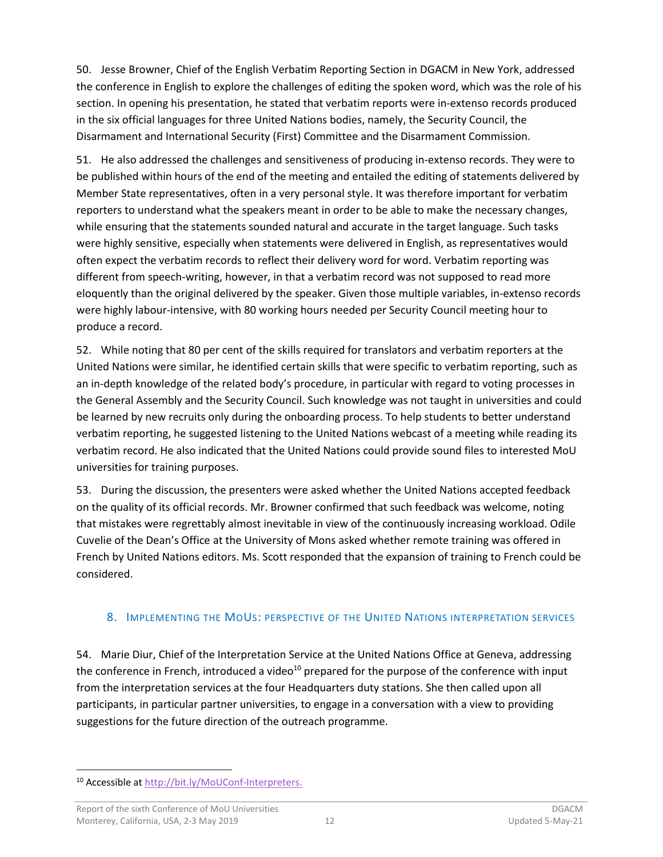50. Jesse Browner, Chief of the English Verbatim Reporting Section in DGACM in New York, addressed the conference in English to explore the challenges of editing the spoken word, which was the role of his section. In opening his presentation, he stated that verbatim reports were in-extenso records produced in the six official languages for three United Nations bodies, namely, the Security Council, the Disarmament and International Security (First) Committee and the Disarmament Commission.

51. He also addressed the challenges and sensitiveness of producing in-extenso records. They were to be published within hours of the end of the meeting and entailed the editing of statements delivered by Member State representatives, often in a very personal style. It was therefore important for verbatim reporters to understand what the speakers meant in order to be able to make the necessary changes, while ensuring that the statements sounded natural and accurate in the target language. Such tasks were highly sensitive, especially when statements were delivered in English, as representatives would often expect the verbatim records to reflect their delivery word for word. Verbatim reporting was different from speech-writing, however, in that a verbatim record was not supposed to read more eloquently than the original delivered by the speaker. Given those multiple variables, in-extenso records were highly labour-intensive, with 80 working hours needed per Security Council meeting hour to produce a record.

52. While noting that 80 per cent of the skills required for translators and verbatim reporters at the United Nations were similar, he identified certain skills that were specific to verbatim reporting, such as an in-depth knowledge of the related body's procedure, in particular with regard to voting processes in the General Assembly and the Security Council. Such knowledge was not taught in universities and could be learned by new recruits only during the onboarding process. To help students to better understand verbatim reporting, he suggested listening to the United Nations webcast of a meeting while reading its verbatim record. He also indicated that the United Nations could provide sound files to interested MoU universities for training purposes.

53. During the discussion, the presenters were asked whether the United Nations accepted feedback on the quality of its official records. Mr. Browner confirmed that such feedback was welcome, noting that mistakes were regrettably almost inevitable in view of the continuously increasing workload. Odile Cuvelie of the Dean's Office at the University of Mons asked whether remote training was offered in French by United Nations editors. Ms. Scott responded that the expansion of training to French could be considered.

#### <span id="page-13-0"></span>8. IMPLEMENTING THE MOUS: PERSPECTIVE OF THE UNITED NATIONS INTERPRETATION SERVICES

54. Marie Diur, Chief of the Interpretation Service at the United Nations Office at Geneva, addressing the conference in French, introduced a video<sup>10</sup> prepared for the purpose of the conference with input from the interpretation services at the four Headquarters duty stations. She then called upon all participants, in particular partner universities, to engage in a conversation with a view to providing suggestions for the future direction of the outreach programme.

<sup>10</sup> Accessible at [http://bit.ly/MoUConf-Interpreters.](http://bit.ly/MoUConf-Interpreters)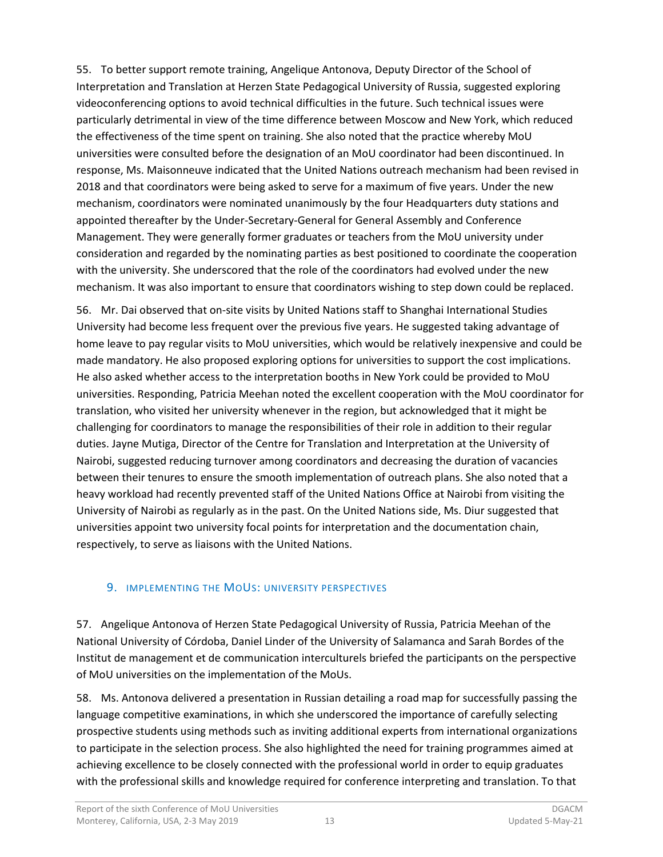55. To better support remote training, Angelique Antonova, Deputy Director of the School of Interpretation and Translation at Herzen State Pedagogical University of Russia, suggested exploring videoconferencing options to avoid technical difficulties in the future. Such technical issues were particularly detrimental in view of the time difference between Moscow and New York, which reduced the effectiveness of the time spent on training. She also noted that the practice whereby MoU universities were consulted before the designation of an MoU coordinator had been discontinued. In response, Ms. Maisonneuve indicated that the United Nations outreach mechanism had been revised in 2018 and that coordinators were being asked to serve for a maximum of five years. Under the new mechanism, coordinators were nominated unanimously by the four Headquarters duty stations and appointed thereafter by the Under-Secretary-General for General Assembly and Conference Management. They were generally former graduates or teachers from the MoU university under consideration and regarded by the nominating parties as best positioned to coordinate the cooperation with the university. She underscored that the role of the coordinators had evolved under the new mechanism. It was also important to ensure that coordinators wishing to step down could be replaced.

56. Mr. Dai observed that on-site visits by United Nations staff to Shanghai International Studies University had become less frequent over the previous five years. He suggested taking advantage of home leave to pay regular visits to MoU universities, which would be relatively inexpensive and could be made mandatory. He also proposed exploring options for universities to support the cost implications. He also asked whether access to the interpretation booths in New York could be provided to MoU universities. Responding, Patricia Meehan noted the excellent cooperation with the MoU coordinator for translation, who visited her university whenever in the region, but acknowledged that it might be challenging for coordinators to manage the responsibilities of their role in addition to their regular duties. Jayne Mutiga, Director of the Centre for Translation and Interpretation at the University of Nairobi, suggested reducing turnover among coordinators and decreasing the duration of vacancies between their tenures to ensure the smooth implementation of outreach plans. She also noted that a heavy workload had recently prevented staff of the United Nations Office at Nairobi from visiting the University of Nairobi as regularly as in the past. On the United Nations side, Ms. Diur suggested that universities appoint two university focal points for interpretation and the documentation chain, respectively, to serve as liaisons with the United Nations.

## <span id="page-14-0"></span>9. IMPLEMENTING THE MOUS: UNIVERSITY PERSPECTIVES

57. Angelique Antonova of Herzen State Pedagogical University of Russia, Patricia Meehan of the National University of Córdoba, Daniel Linder of the University of Salamanca and Sarah Bordes of the Institut de management et de communication interculturels briefed the participants on the perspective of MoU universities on the implementation of the MoUs.

58. Ms. Antonova delivered a presentation in Russian detailing a road map for successfully passing the language competitive examinations, in which she underscored the importance of carefully selecting prospective students using methods such as inviting additional experts from international organizations to participate in the selection process. She also highlighted the need for training programmes aimed at achieving excellence to be closely connected with the professional world in order to equip graduates with the professional skills and knowledge required for conference interpreting and translation. To that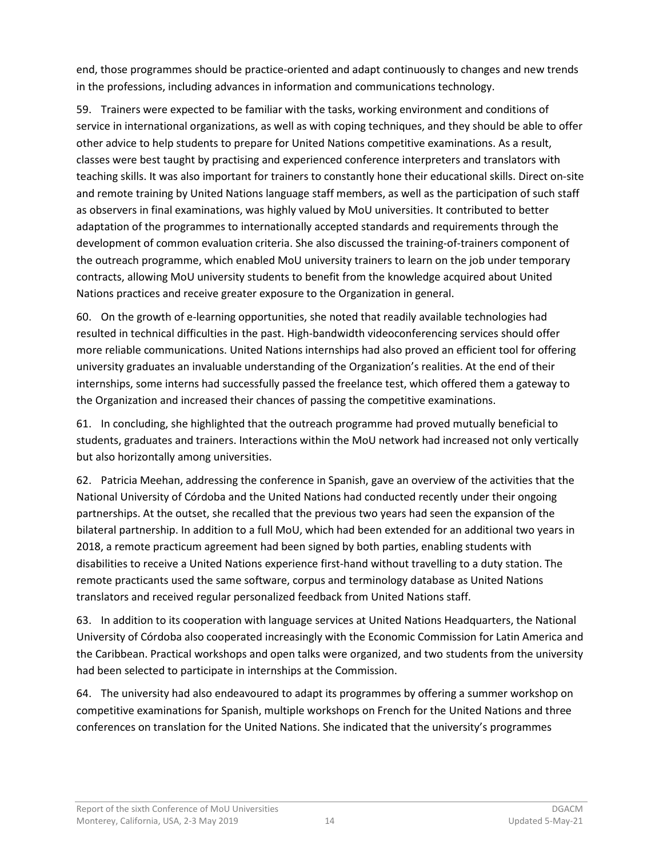end, those programmes should be practice-oriented and adapt continuously to changes and new trends in the professions, including advances in information and communications technology.

59. Trainers were expected to be familiar with the tasks, working environment and conditions of service in international organizations, as well as with coping techniques, and they should be able to offer other advice to help students to prepare for United Nations competitive examinations. As a result, classes were best taught by practising and experienced conference interpreters and translators with teaching skills. It was also important for trainers to constantly hone their educational skills. Direct on-site and remote training by United Nations language staff members, as well as the participation of such staff as observers in final examinations, was highly valued by MoU universities. It contributed to better adaptation of the programmes to internationally accepted standards and requirements through the development of common evaluation criteria. She also discussed the training-of-trainers component of the outreach programme, which enabled MoU university trainers to learn on the job under temporary contracts, allowing MoU university students to benefit from the knowledge acquired about United Nations practices and receive greater exposure to the Organization in general.

60. On the growth of e-learning opportunities, she noted that readily available technologies had resulted in technical difficulties in the past. High-bandwidth videoconferencing services should offer more reliable communications. United Nations internships had also proved an efficient tool for offering university graduates an invaluable understanding of the Organization's realities. At the end of their internships, some interns had successfully passed the freelance test, which offered them a gateway to the Organization and increased their chances of passing the competitive examinations.

61. In concluding, she highlighted that the outreach programme had proved mutually beneficial to students, graduates and trainers. Interactions within the MoU network had increased not only vertically but also horizontally among universities.

62. Patricia Meehan, addressing the conference in Spanish, gave an overview of the activities that the National University of Córdoba and the United Nations had conducted recently under their ongoing partnerships. At the outset, she recalled that the previous two years had seen the expansion of the bilateral partnership. In addition to a full MoU, which had been extended for an additional two years in 2018, a remote practicum agreement had been signed by both parties, enabling students with disabilities to receive a United Nations experience first-hand without travelling to a duty station. The remote practicants used the same software, corpus and terminology database as United Nations translators and received regular personalized feedback from United Nations staff.

63. In addition to its cooperation with language services at United Nations Headquarters, the National University of Córdoba also cooperated increasingly with the Economic Commission for Latin America and the Caribbean. Practical workshops and open talks were organized, and two students from the university had been selected to participate in internships at the Commission.

64. The university had also endeavoured to adapt its programmes by offering a summer workshop on competitive examinations for Spanish, multiple workshops on French for the United Nations and three conferences on translation for the United Nations. She indicated that the university's programmes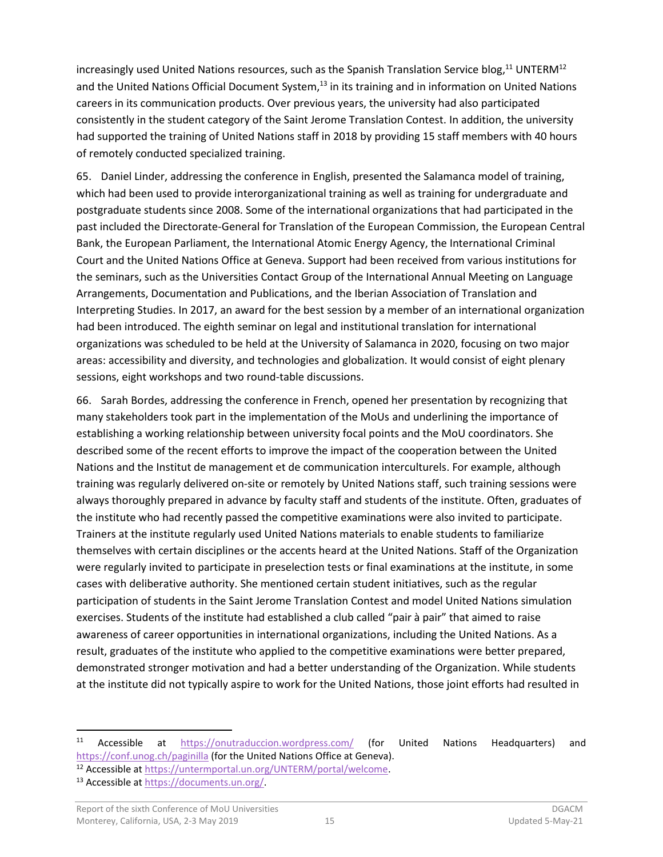increasingly used United Nations resources, such as the Spanish Translation Service blog,<sup>11</sup> UNTERM<sup>12</sup> and the United Nations Official Document System,<sup>13</sup> in its training and in information on United Nations careers in its communication products. Over previous years, the university had also participated consistently in the student category of the Saint Jerome Translation Contest. In addition, the university had supported the training of United Nations staff in 2018 by providing 15 staff members with 40 hours of remotely conducted specialized training.

65. Daniel Linder, addressing the conference in English, presented the Salamanca model of training, which had been used to provide interorganizational training as well as training for undergraduate and postgraduate students since 2008. Some of the international organizations that had participated in the past included the Directorate-General for Translation of the European Commission, the European Central Bank, the European Parliament, the International Atomic Energy Agency, the International Criminal Court and the United Nations Office at Geneva. Support had been received from various institutions for the seminars, such as the Universities Contact Group of the International Annual Meeting on Language Arrangements, Documentation and Publications, and the Iberian Association of Translation and Interpreting Studies. In 2017, an award for the best session by a member of an international organization had been introduced. The eighth seminar on legal and institutional translation for international organizations was scheduled to be held at the University of Salamanca in 2020, focusing on two major areas: accessibility and diversity, and technologies and globalization. It would consist of eight plenary sessions, eight workshops and two round-table discussions.

66. Sarah Bordes, addressing the conference in French, opened her presentation by recognizing that many stakeholders took part in the implementation of the MoUs and underlining the importance of establishing a working relationship between university focal points and the MoU coordinators. She described some of the recent efforts to improve the impact of the cooperation between the United Nations and the Institut de management et de communication interculturels. For example, although training was regularly delivered on-site or remotely by United Nations staff, such training sessions were always thoroughly prepared in advance by faculty staff and students of the institute. Often, graduates of the institute who had recently passed the competitive examinations were also invited to participate. Trainers at the institute regularly used United Nations materials to enable students to familiarize themselves with certain disciplines or the accents heard at the United Nations. Staff of the Organization were regularly invited to participate in preselection tests or final examinations at the institute, in some cases with deliberative authority. She mentioned certain student initiatives, such as the regular participation of students in the Saint Jerome Translation Contest and model United Nations simulation exercises. Students of the institute had established a club called "pair à pair" that aimed to raise awareness of career opportunities in international organizations, including the United Nations. As a result, graduates of the institute who applied to the competitive examinations were better prepared, demonstrated stronger motivation and had a better understanding of the Organization. While students at the institute did not typically aspire to work for the United Nations, those joint efforts had resulted in

<sup>&</sup>lt;sup>11</sup> Accessible at <https://onutraduccion.wordpress.com/> (for United Nations Headquarters) and <https://conf.unog.ch/paginilla> (for the United Nations Office at Geneva).

<sup>12</sup> Accessible at https://untermportal.un.org/UNTERM/portal/welcome.

<sup>13</sup> Accessible at [https://documents.un.org/.](https://documents.un.org/)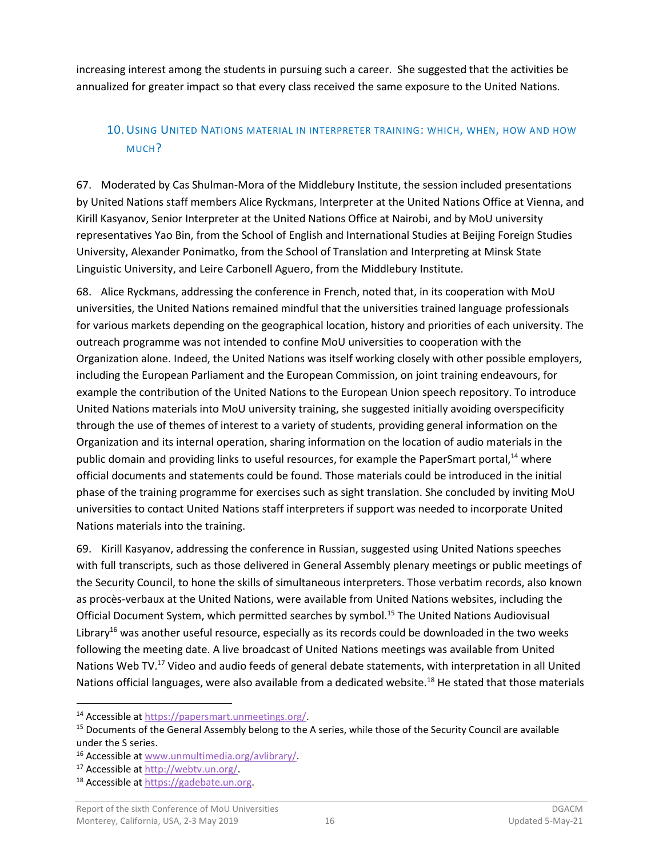increasing interest among the students in pursuing such a career. She suggested that the activities be annualized for greater impact so that every class received the same exposure to the United Nations.

## <span id="page-17-0"></span>10.USING UNITED NATIONS MATERIAL IN INTERPRETER TRAINING: WHICH, WHEN, HOW AND HOW MUCH?

67. Moderated by Cas Shulman-Mora of the Middlebury Institute, the session included presentations by United Nations staff members Alice Ryckmans, Interpreter at the United Nations Office at Vienna, and Kirill Kasyanov, Senior Interpreter at the United Nations Office at Nairobi, and by MoU university representatives Yao Bin, from the School of English and International Studies at Beijing Foreign Studies University, Alexander Ponimatko, from the School of Translation and Interpreting at Minsk State Linguistic University, and Leire Carbonell Aguero, from the Middlebury Institute.

68. Alice Ryckmans, addressing the conference in French, noted that, in its cooperation with MoU universities, the United Nations remained mindful that the universities trained language professionals for various markets depending on the geographical location, history and priorities of each university. The outreach programme was not intended to confine MoU universities to cooperation with the Organization alone. Indeed, the United Nations was itself working closely with other possible employers, including the European Parliament and the European Commission, on joint training endeavours, for example the contribution of the United Nations to the European Union speech repository. To introduce United Nations materials into MoU university training, she suggested initially avoiding overspecificity through the use of themes of interest to a variety of students, providing general information on the Organization and its internal operation, sharing information on the location of audio materials in the public domain and providing links to useful resources, for example the PaperSmart portal,<sup>14</sup> where official documents and statements could be found. Those materials could be introduced in the initial phase of the training programme for exercises such as sight translation. She concluded by inviting MoU universities to contact United Nations staff interpreters if support was needed to incorporate United Nations materials into the training.

69. Kirill Kasyanov, addressing the conference in Russian, suggested using United Nations speeches with full transcripts, such as those delivered in General Assembly plenary meetings or public meetings of the Security Council, to hone the skills of simultaneous interpreters. Those verbatim records, also known as procès-verbaux at the United Nations, were available from United Nations websites, including the Official Document System, which permitted searches by symbol. <sup>15</sup> The United Nations Audiovisual Library<sup>16</sup> was another useful resource, especially as its records could be downloaded in the two weeks following the meeting date. A live broadcast of United Nations meetings was available from United Nations Web TV.<sup>17</sup> Video and audio feeds of general debate statements, with interpretation in all United Nations official languages, were also available from a dedicated website.<sup>18</sup> He stated that those materials

<sup>14</sup> Accessible at [https://papersmart.unmeetings.org/.](https://papersmart.unmeetings.org/)

<sup>&</sup>lt;sup>15</sup> Documents of the General Assembly belong to the A series, while those of the Security Council are available under the S series.

<sup>16</sup> Accessible at [www.unmultimedia.org/avlibrary/.](http://www.unmultimedia.org/avlibrary/)

<sup>17</sup> Accessible at [http://webtv.un.org/.](http://webtv.un.org/)

<sup>18</sup> Accessible at [https://gadebate.un.org.](https://gadebate.un.org/)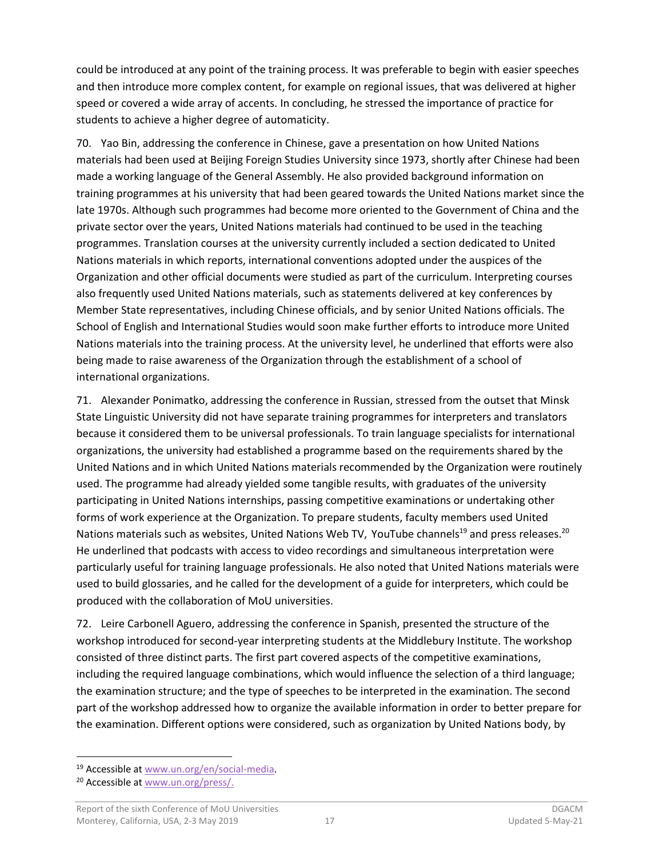could be introduced at any point of the training process. It was preferable to begin with easier speeches and then introduce more complex content, for example on regional issues, that was delivered at higher speed or covered a wide array of accents. In concluding, he stressed the importance of practice for students to achieve a higher degree of automaticity.

70. Yao Bin, addressing the conference in Chinese, gave a presentation on how United Nations materials had been used at Beijing Foreign Studies University since 1973, shortly after Chinese had been made a working language of the General Assembly. He also provided background information on training programmes at his university that had been geared towards the United Nations market since the late 1970s. Although such programmes had become more oriented to the Government of China and the private sector over the years, United Nations materials had continued to be used in the teaching programmes. Translation courses at the university currently included a section dedicated to United Nations materials in which reports, international conventions adopted under the auspices of the Organization and other official documents were studied as part of the curriculum. Interpreting courses also frequently used United Nations materials, such as statements delivered at key conferences by Member State representatives, including Chinese officials, and by senior United Nations officials. The School of English and International Studies would soon make further efforts to introduce more United Nations materials into the training process. At the university level, he underlined that efforts were also being made to raise awareness of the Organization through the establishment of a school of international organizations.

71. Alexander Ponimatko, addressing the conference in Russian, stressed from the outset that Minsk State Linguistic University did not have separate training programmes for interpreters and translators because it considered them to be universal professionals. To train language specialists for international organizations, the university had established a programme based on the requirements shared by the United Nations and in which United Nations materials recommended by the Organization were routinely used. The programme had already yielded some tangible results, with graduates of the university participating in United Nations internships, passing competitive examinations or undertaking other forms of work experience at the Organization. To prepare students, faculty members used United Nations materials such as websites, United Nations Web TV, YouTube channels<sup>19</sup> and press releases.<sup>20</sup> He underlined that podcasts with access to video recordings and simultaneous interpretation were particularly useful for training language professionals. He also noted that United Nations materials were used to build glossaries, and he called for the development of a guide for interpreters, which could be produced with the collaboration of MoU universities.

72. Leire Carbonell Aguero, addressing the conference in Spanish, presented the structure of the workshop introduced for second-year interpreting students at the Middlebury Institute. The workshop consisted of three distinct parts. The first part covered aspects of the competitive examinations, including the required language combinations, which would influence the selection of a third language; the examination structure; and the type of speeches to be interpreted in the examination. The second part of the workshop addressed how to organize the available information in order to better prepare for the examination. Different options were considered, such as organization by United Nations body, by

<sup>19</sup> Accessible at [www.un.org/en/social-media.](file:///C:/Users/C.Maisonneuve/AppData/Local/Microsoft/Windows/Temporary%20Internet%20Files/Content.Outlook/QZRKF4GG/www.un.org/en/social-media)

<sup>&</sup>lt;sup>20</sup> Accessible at [www.un.org/press/.](http://www.un.org/press/)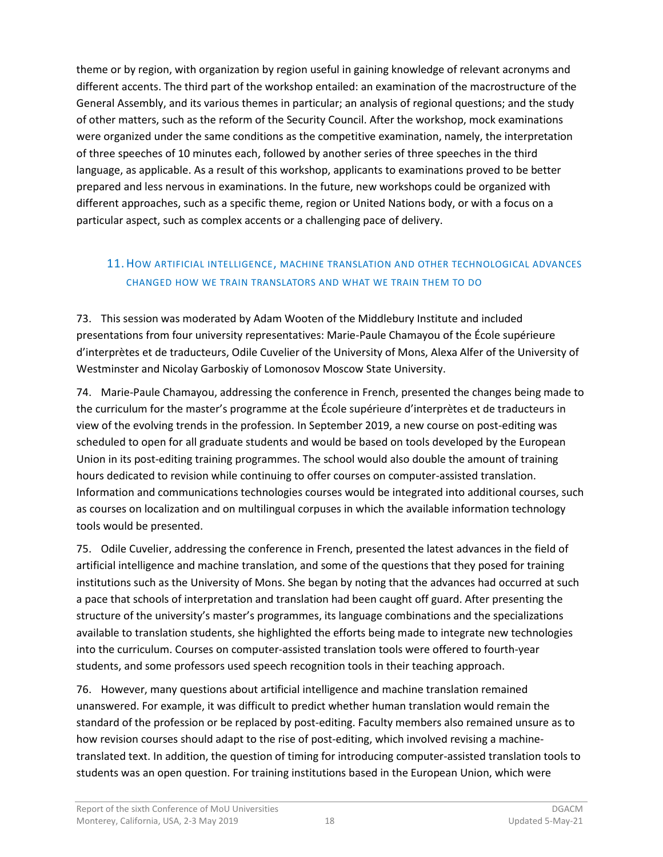theme or by region, with organization by region useful in gaining knowledge of relevant acronyms and different accents. The third part of the workshop entailed: an examination of the macrostructure of the General Assembly, and its various themes in particular; an analysis of regional questions; and the study of other matters, such as the reform of the Security Council. After the workshop, mock examinations were organized under the same conditions as the competitive examination, namely, the interpretation of three speeches of 10 minutes each, followed by another series of three speeches in the third language, as applicable. As a result of this workshop, applicants to examinations proved to be better prepared and less nervous in examinations. In the future, new workshops could be organized with different approaches, such as a specific theme, region or United Nations body, or with a focus on a particular aspect, such as complex accents or a challenging pace of delivery.

## <span id="page-19-0"></span>11.HOW ARTIFICIAL INTELLIGENCE, MACHINE TRANSLATION AND OTHER TECHNOLOGICAL ADVANCES CHANGED HOW WE TRAIN TRANSLATORS AND WHAT WE TRAIN THEM TO DO

73. This session was moderated by Adam Wooten of the Middlebury Institute and included presentations from four university representatives: Marie-Paule Chamayou of the École supérieure d'interprètes et de traducteurs, Odile Cuvelier of the University of Mons, Alexa Alfer of the University of Westminster and Nicolay Garboskiy of Lomonosov Moscow State University.

74. Marie-Paule Chamayou, addressing the conference in French, presented the changes being made to the curriculum for the master's programme at the École supérieure d'interprètes et de traducteurs in view of the evolving trends in the profession. In September 2019, a new course on post-editing was scheduled to open for all graduate students and would be based on tools developed by the European Union in its post-editing training programmes. The school would also double the amount of training hours dedicated to revision while continuing to offer courses on computer-assisted translation. Information and communications technologies courses would be integrated into additional courses, such as courses on localization and on multilingual corpuses in which the available information technology tools would be presented.

75. Odile Cuvelier, addressing the conference in French, presented the latest advances in the field of artificial intelligence and machine translation, and some of the questions that they posed for training institutions such as the University of Mons. She began by noting that the advances had occurred at such a pace that schools of interpretation and translation had been caught off guard. After presenting the structure of the university's master's programmes, its language combinations and the specializations available to translation students, she highlighted the efforts being made to integrate new technologies into the curriculum. Courses on computer-assisted translation tools were offered to fourth-year students, and some professors used speech recognition tools in their teaching approach.

76. However, many questions about artificial intelligence and machine translation remained unanswered. For example, it was difficult to predict whether human translation would remain the standard of the profession or be replaced by post-editing. Faculty members also remained unsure as to how revision courses should adapt to the rise of post-editing, which involved revising a machinetranslated text. In addition, the question of timing for introducing computer-assisted translation tools to students was an open question. For training institutions based in the European Union, which were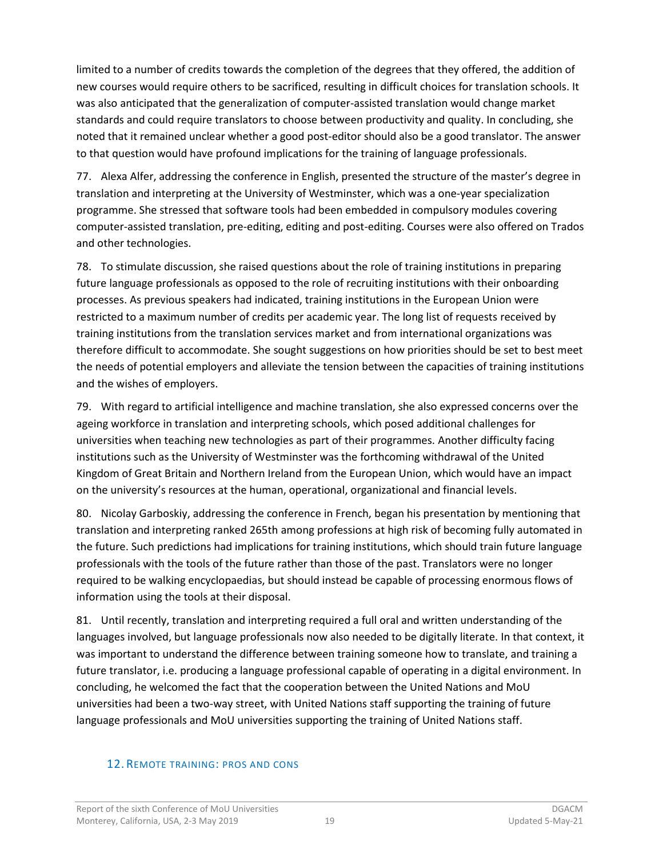limited to a number of credits towards the completion of the degrees that they offered, the addition of new courses would require others to be sacrificed, resulting in difficult choices for translation schools. It was also anticipated that the generalization of computer-assisted translation would change market standards and could require translators to choose between productivity and quality. In concluding, she noted that it remained unclear whether a good post-editor should also be a good translator. The answer to that question would have profound implications for the training of language professionals.

77. Alexa Alfer, addressing the conference in English, presented the structure of the master's degree in translation and interpreting at the University of Westminster, which was a one-year specialization programme. She stressed that software tools had been embedded in compulsory modules covering computer-assisted translation, pre-editing, editing and post-editing. Courses were also offered on Trados and other technologies.

78. To stimulate discussion, she raised questions about the role of training institutions in preparing future language professionals as opposed to the role of recruiting institutions with their onboarding processes. As previous speakers had indicated, training institutions in the European Union were restricted to a maximum number of credits per academic year. The long list of requests received by training institutions from the translation services market and from international organizations was therefore difficult to accommodate. She sought suggestions on how priorities should be set to best meet the needs of potential employers and alleviate the tension between the capacities of training institutions and the wishes of employers.

79. With regard to artificial intelligence and machine translation, she also expressed concerns over the ageing workforce in translation and interpreting schools, which posed additional challenges for universities when teaching new technologies as part of their programmes. Another difficulty facing institutions such as the University of Westminster was the forthcoming withdrawal of the United Kingdom of Great Britain and Northern Ireland from the European Union, which would have an impact on the university's resources at the human, operational, organizational and financial levels.

80. Nicolay Garboskiy, addressing the conference in French, began his presentation by mentioning that translation and interpreting ranked 265th among professions at high risk of becoming fully automated in the future. Such predictions had implications for training institutions, which should train future language professionals with the tools of the future rather than those of the past. Translators were no longer required to be walking encyclopaedias, but should instead be capable of processing enormous flows of information using the tools at their disposal.

81. Until recently, translation and interpreting required a full oral and written understanding of the languages involved, but language professionals now also needed to be digitally literate. In that context, it was important to understand the difference between training someone how to translate, and training a future translator, i.e. producing a language professional capable of operating in a digital environment. In concluding, he welcomed the fact that the cooperation between the United Nations and MoU universities had been a two-way street, with United Nations staff supporting the training of future language professionals and MoU universities supporting the training of United Nations staff.

#### <span id="page-20-0"></span>12. REMOTE TRAINING: PROS AND CONS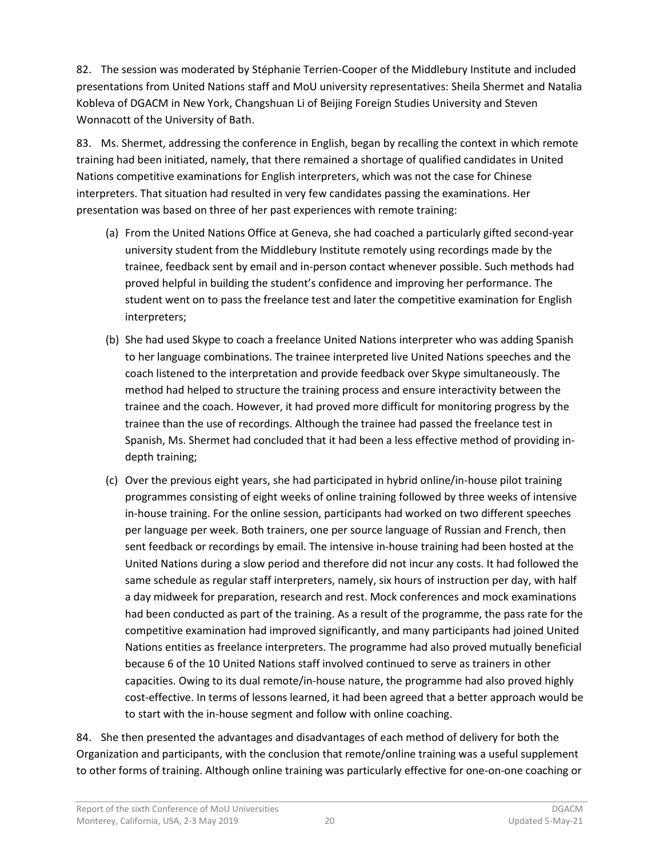82. The session was moderated by Stéphanie Terrien-Cooper of the Middlebury Institute and included presentations from United Nations staff and MoU university representatives: Sheila Shermet and Natalia Kobleva of DGACM in New York, Changshuan Li of Beijing Foreign Studies University and Steven Wonnacott of the University of Bath.

83. Ms. Shermet, addressing the conference in English, began by recalling the context in which remote training had been initiated, namely, that there remained a shortage of qualified candidates in United Nations competitive examinations for English interpreters, which was not the case for Chinese interpreters. That situation had resulted in very few candidates passing the examinations. Her presentation was based on three of her past experiences with remote training:

- (a) From the United Nations Office at Geneva, she had coached a particularly gifted second-year university student from the Middlebury Institute remotely using recordings made by the trainee, feedback sent by email and in-person contact whenever possible. Such methods had proved helpful in building the student's confidence and improving her performance. The student went on to pass the freelance test and later the competitive examination for English interpreters;
- (b) She had used Skype to coach a freelance United Nations interpreter who was adding Spanish to her language combinations. The trainee interpreted live United Nations speeches and the coach listened to the interpretation and provide feedback over Skype simultaneously. The method had helped to structure the training process and ensure interactivity between the trainee and the coach. However, it had proved more difficult for monitoring progress by the trainee than the use of recordings. Although the trainee had passed the freelance test in Spanish, Ms. Shermet had concluded that it had been a less effective method of providing indepth training;
- (c) Over the previous eight years, she had participated in hybrid online/in-house pilot training programmes consisting of eight weeks of online training followed by three weeks of intensive in-house training. For the online session, participants had worked on two different speeches per language per week. Both trainers, one per source language of Russian and French, then sent feedback or recordings by email. The intensive in-house training had been hosted at the United Nations during a slow period and therefore did not incur any costs. It had followed the same schedule as regular staff interpreters, namely, six hours of instruction per day, with half a day midweek for preparation, research and rest. Mock conferences and mock examinations had been conducted as part of the training. As a result of the programme, the pass rate for the competitive examination had improved significantly, and many participants had joined United Nations entities as freelance interpreters. The programme had also proved mutually beneficial because 6 of the 10 United Nations staff involved continued to serve as trainers in other capacities. Owing to its dual remote/in-house nature, the programme had also proved highly cost-effective. In terms of lessons learned, it had been agreed that a better approach would be to start with the in-house segment and follow with online coaching.

84. She then presented the advantages and disadvantages of each method of delivery for both the Organization and participants, with the conclusion that remote/online training was a useful supplement to other forms of training. Although online training was particularly effective for one-on-one coaching or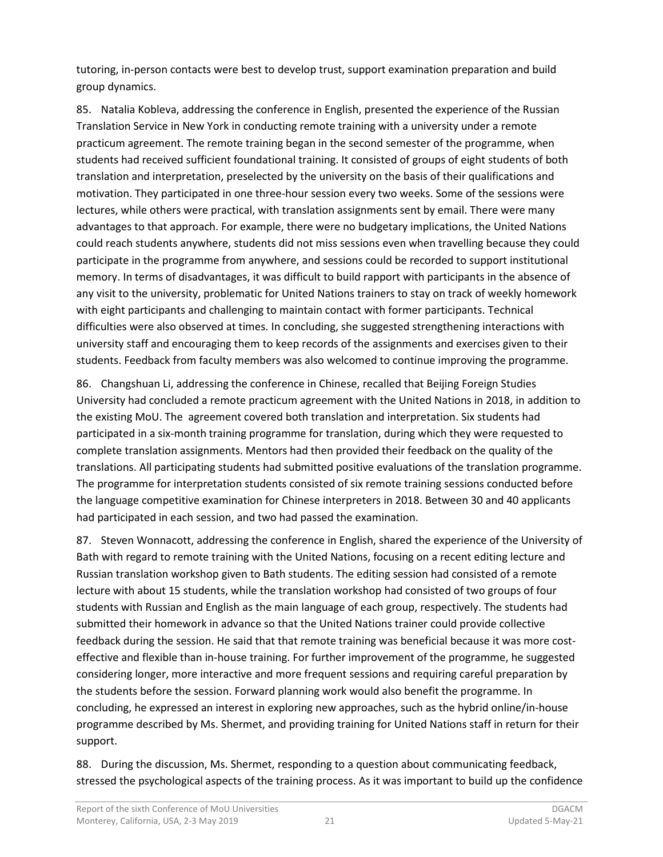tutoring, in-person contacts were best to develop trust, support examination preparation and build group dynamics.

85. Natalia Kobleva, addressing the conference in English, presented the experience of the Russian Translation Service in New York in conducting remote training with a university under a remote practicum agreement. The remote training began in the second semester of the programme, when students had received sufficient foundational training. It consisted of groups of eight students of both translation and interpretation, preselected by the university on the basis of their qualifications and motivation. They participated in one three-hour session every two weeks. Some of the sessions were lectures, while others were practical, with translation assignments sent by email. There were many advantages to that approach. For example, there were no budgetary implications, the United Nations could reach students anywhere, students did not miss sessions even when travelling because they could participate in the programme from anywhere, and sessions could be recorded to support institutional memory. In terms of disadvantages, it was difficult to build rapport with participants in the absence of any visit to the university, problematic for United Nations trainers to stay on track of weekly homework with eight participants and challenging to maintain contact with former participants. Technical difficulties were also observed at times. In concluding, she suggested strengthening interactions with university staff and encouraging them to keep records of the assignments and exercises given to their students. Feedback from faculty members was also welcomed to continue improving the programme.

86. Changshuan Li, addressing the conference in Chinese, recalled that Beijing Foreign Studies University had concluded a remote practicum agreement with the United Nations in 2018, in addition to the existing MoU. The agreement covered both translation and interpretation. Six students had participated in a six-month training programme for translation, during which they were requested to complete translation assignments. Mentors had then provided their feedback on the quality of the translations. All participating students had submitted positive evaluations of the translation programme. The programme for interpretation students consisted of six remote training sessions conducted before the language competitive examination for Chinese interpreters in 2018. Between 30 and 40 applicants had participated in each session, and two had passed the examination.

87. Steven Wonnacott, addressing the conference in English, shared the experience of the University of Bath with regard to remote training with the United Nations, focusing on a recent editing lecture and Russian translation workshop given to Bath students. The editing session had consisted of a remote lecture with about 15 students, while the translation workshop had consisted of two groups of four students with Russian and English as the main language of each group, respectively. The students had submitted their homework in advance so that the United Nations trainer could provide collective feedback during the session. He said that that remote training was beneficial because it was more costeffective and flexible than in-house training. For further improvement of the programme, he suggested considering longer, more interactive and more frequent sessions and requiring careful preparation by the students before the session. Forward planning work would also benefit the programme. In concluding, he expressed an interest in exploring new approaches, such as the hybrid online/in-house programme described by Ms. Shermet, and providing training for United Nations staff in return for their support.

88. During the discussion, Ms. Shermet, responding to a question about communicating feedback, stressed the psychological aspects of the training process. As it was important to build up the confidence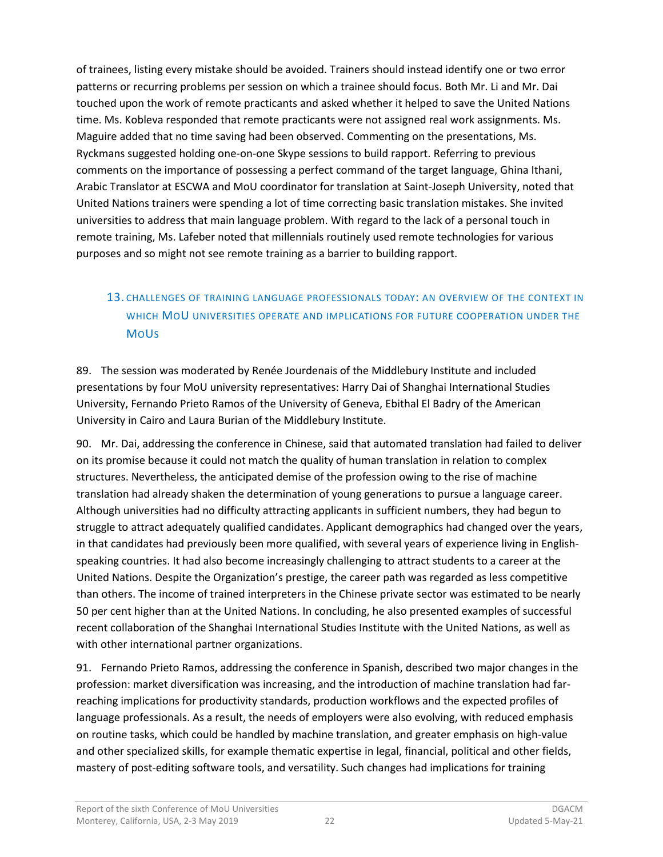of trainees, listing every mistake should be avoided. Trainers should instead identify one or two error patterns or recurring problems per session on which a trainee should focus. Both Mr. Li and Mr. Dai touched upon the work of remote practicants and asked whether it helped to save the United Nations time. Ms. Kobleva responded that remote practicants were not assigned real work assignments. Ms. Maguire added that no time saving had been observed. Commenting on the presentations, Ms. Ryckmans suggested holding one-on-one Skype sessions to build rapport. Referring to previous comments on the importance of possessing a perfect command of the target language, Ghina Ithani, Arabic Translator at ESCWA and MoU coordinator for translation at Saint-Joseph University, noted that United Nations trainers were spending a lot of time correcting basic translation mistakes. She invited universities to address that main language problem. With regard to the lack of a personal touch in remote training, Ms. Lafeber noted that millennials routinely used remote technologies for various purposes and so might not see remote training as a barrier to building rapport.

## <span id="page-23-0"></span>13. CHALLENGES OF TRAINING LANGUAGE PROFESSIONALS TODAY: AN OVERVIEW OF THE CONTEXT IN WHICH MOU UNIVERSITIES OPERATE AND IMPLICATIONS FOR FUTURE COOPERATION UNDER THE **MoUs**

89. The session was moderated by Renée Jourdenais of the Middlebury Institute and included presentations by four MoU university representatives: Harry Dai of Shanghai International Studies University, Fernando Prieto Ramos of the University of Geneva, Ebithal El Badry of the American University in Cairo and Laura Burian of the Middlebury Institute.

90. Mr. Dai, addressing the conference in Chinese, said that automated translation had failed to deliver on its promise because it could not match the quality of human translation in relation to complex structures. Nevertheless, the anticipated demise of the profession owing to the rise of machine translation had already shaken the determination of young generations to pursue a language career. Although universities had no difficulty attracting applicants in sufficient numbers, they had begun to struggle to attract adequately qualified candidates. Applicant demographics had changed over the years, in that candidates had previously been more qualified, with several years of experience living in Englishspeaking countries. It had also become increasingly challenging to attract students to a career at the United Nations. Despite the Organization's prestige, the career path was regarded as less competitive than others. The income of trained interpreters in the Chinese private sector was estimated to be nearly 50 per cent higher than at the United Nations. In concluding, he also presented examples of successful recent collaboration of the Shanghai International Studies Institute with the United Nations, as well as with other international partner organizations.

91. Fernando Prieto Ramos, addressing the conference in Spanish, described two major changes in the profession: market diversification was increasing, and the introduction of machine translation had farreaching implications for productivity standards, production workflows and the expected profiles of language professionals. As a result, the needs of employers were also evolving, with reduced emphasis on routine tasks, which could be handled by machine translation, and greater emphasis on high-value and other specialized skills, for example thematic expertise in legal, financial, political and other fields, mastery of post-editing software tools, and versatility. Such changes had implications for training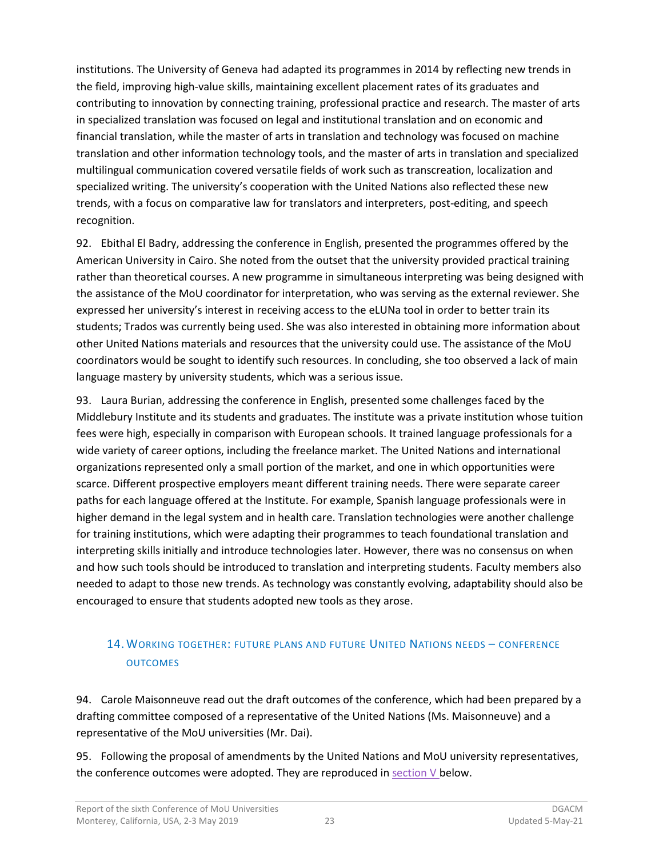institutions. The University of Geneva had adapted its programmes in 2014 by reflecting new trends in the field, improving high-value skills, maintaining excellent placement rates of its graduates and contributing to innovation by connecting training, professional practice and research. The master of arts in specialized translation was focused on legal and institutional translation and on economic and financial translation, while the master of arts in translation and technology was focused on machine translation and other information technology tools, and the master of arts in translation and specialized multilingual communication covered versatile fields of work such as transcreation, localization and specialized writing. The university's cooperation with the United Nations also reflected these new trends, with a focus on comparative law for translators and interpreters, post-editing, and speech recognition.

92. Ebithal El Badry, addressing the conference in English, presented the programmes offered by the American University in Cairo. She noted from the outset that the university provided practical training rather than theoretical courses. A new programme in simultaneous interpreting was being designed with the assistance of the MoU coordinator for interpretation, who was serving as the external reviewer. She expressed her university's interest in receiving access to the eLUNa tool in order to better train its students; Trados was currently being used. She was also interested in obtaining more information about other United Nations materials and resources that the university could use. The assistance of the MoU coordinators would be sought to identify such resources. In concluding, she too observed a lack of main language mastery by university students, which was a serious issue.

93. Laura Burian, addressing the conference in English, presented some challenges faced by the Middlebury Institute and its students and graduates. The institute was a private institution whose tuition fees were high, especially in comparison with European schools. It trained language professionals for a wide variety of career options, including the freelance market. The United Nations and international organizations represented only a small portion of the market, and one in which opportunities were scarce. Different prospective employers meant different training needs. There were separate career paths for each language offered at the Institute. For example, Spanish language professionals were in higher demand in the legal system and in health care. Translation technologies were another challenge for training institutions, which were adapting their programmes to teach foundational translation and interpreting skills initially and introduce technologies later. However, there was no consensus on when and how such tools should be introduced to translation and interpreting students. Faculty members also needed to adapt to those new trends. As technology was constantly evolving, adaptability should also be encouraged to ensure that students adopted new tools as they arose.

## <span id="page-24-0"></span>14.WORKING TOGETHER: FUTURE PLANS AND FUTURE UNITED NATIONS NEEDS – CONFERENCE **OUTCOMES**

94. Carole Maisonneuve read out the draft outcomes of the conference, which had been prepared by a drafting committee composed of a representative of the United Nations (Ms. Maisonneuve) and a representative of the MoU universities (Mr. Dai).

95. Following the proposal of amendments by the United Nations and MoU university representatives, the conference outcomes were adopted. They are reproduced in [section](#page-25-1)  $V$  below.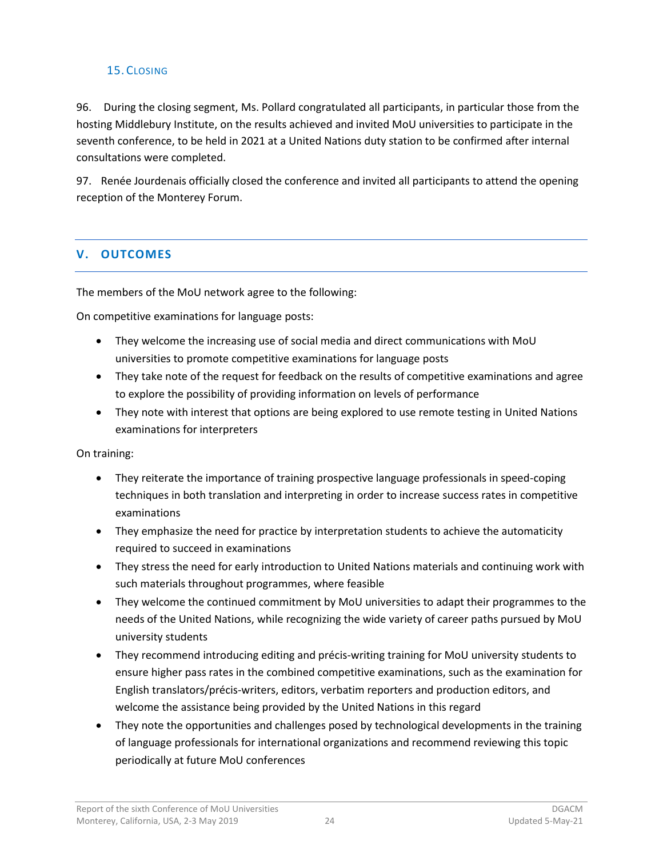### <span id="page-25-0"></span>15. CLOSING

96. During the closing segment, Ms. Pollard congratulated all participants, in particular those from the hosting Middlebury Institute, on the results achieved and invited MoU universities to participate in the seventh conference, to be held in 2021 at a United Nations duty station to be confirmed after internal consultations were completed.

97. Renée Jourdenais officially closed the conference and invited all participants to attend the opening reception of the Monterey Forum.

### <span id="page-25-1"></span>**V. OUTCOMES**

The members of the MoU network agree to the following:

On competitive examinations for language posts:

- They welcome the increasing use of social media and direct communications with MoU universities to promote competitive examinations for language posts
- They take note of the request for feedback on the results of competitive examinations and agree to explore the possibility of providing information on levels of performance
- They note with interest that options are being explored to use remote testing in United Nations examinations for interpreters

On training:

- They reiterate the importance of training prospective language professionals in speed-coping techniques in both translation and interpreting in order to increase success rates in competitive examinations
- They emphasize the need for practice by interpretation students to achieve the automaticity required to succeed in examinations
- They stress the need for early introduction to United Nations materials and continuing work with such materials throughout programmes, where feasible
- They welcome the continued commitment by MoU universities to adapt their programmes to the needs of the United Nations, while recognizing the wide variety of career paths pursued by MoU university students
- They recommend introducing editing and précis-writing training for MoU university students to ensure higher pass rates in the combined competitive examinations, such as the examination for English translators/précis-writers, editors, verbatim reporters and production editors, and welcome the assistance being provided by the United Nations in this regard
- They note the opportunities and challenges posed by technological developments in the training of language professionals for international organizations and recommend reviewing this topic periodically at future MoU conferences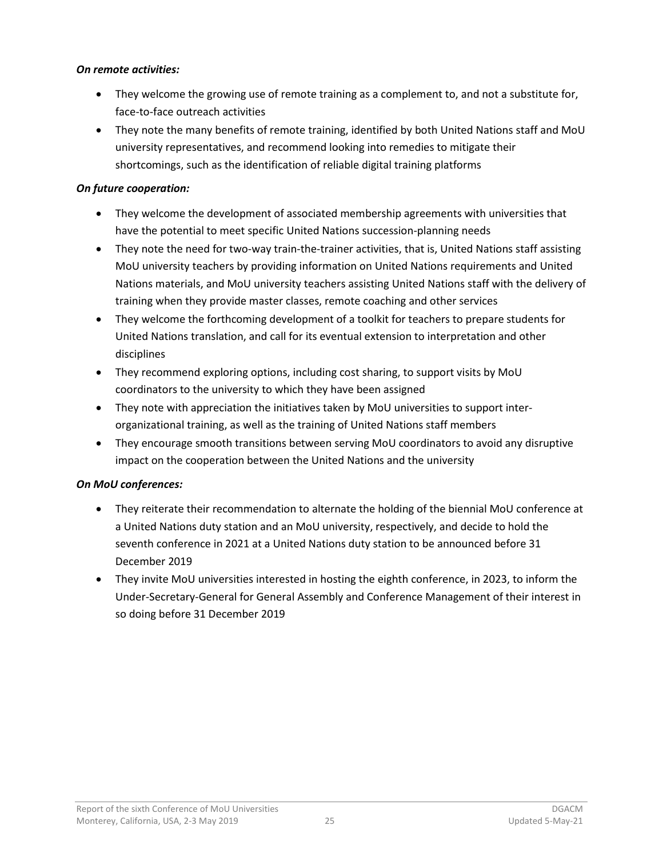#### *On remote activities:*

- They welcome the growing use of remote training as a complement to, and not a substitute for, face-to-face outreach activities
- They note the many benefits of remote training, identified by both United Nations staff and MoU university representatives, and recommend looking into remedies to mitigate their shortcomings, such as the identification of reliable digital training platforms

#### *On future cooperation:*

- They welcome the development of associated membership agreements with universities that have the potential to meet specific United Nations succession-planning needs
- They note the need for two-way train-the-trainer activities, that is, United Nations staff assisting MoU university teachers by providing information on United Nations requirements and United Nations materials, and MoU university teachers assisting United Nations staff with the delivery of training when they provide master classes, remote coaching and other services
- They welcome the forthcoming development of a toolkit for teachers to prepare students for United Nations translation, and call for its eventual extension to interpretation and other disciplines
- They recommend exploring options, including cost sharing, to support visits by MoU coordinators to the university to which they have been assigned
- They note with appreciation the initiatives taken by MoU universities to support interorganizational training, as well as the training of United Nations staff members
- They encourage smooth transitions between serving MoU coordinators to avoid any disruptive impact on the cooperation between the United Nations and the university

## *On MoU conferences:*

- They reiterate their recommendation to alternate the holding of the biennial MoU conference at a United Nations duty station and an MoU university, respectively, and decide to hold the seventh conference in 2021 at a United Nations duty station to be announced before 31 December 2019
- They invite MoU universities interested in hosting the eighth conference, in 2023, to inform the Under-Secretary-General for General Assembly and Conference Management of their interest in so doing before 31 December 2019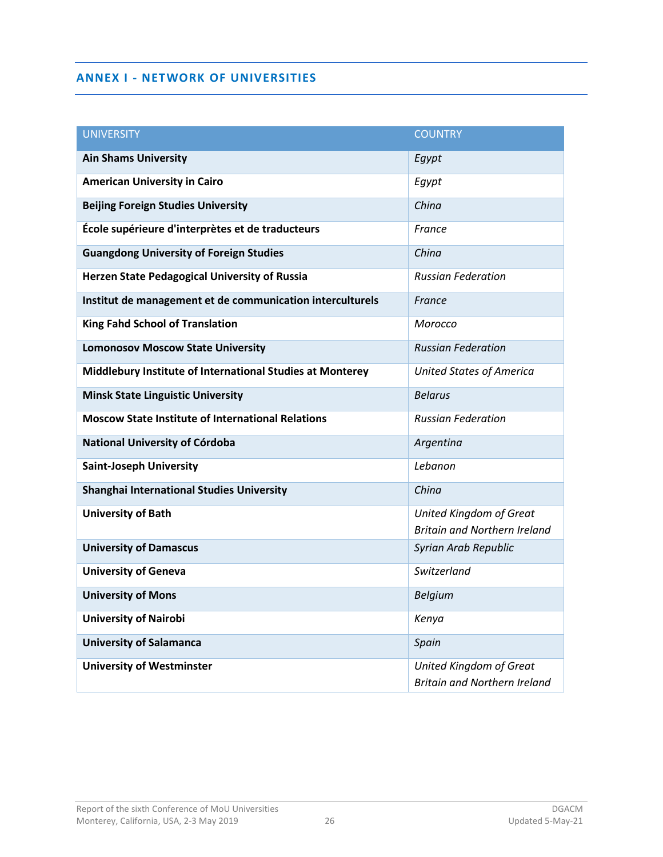#### <span id="page-27-0"></span>**ANNEX I - NETWORK OF UNIVERSITIES**

<span id="page-27-1"></span>

| <b>UNIVERSITY</b>                                         | <b>COUNTRY</b>                      |
|-----------------------------------------------------------|-------------------------------------|
| <b>Ain Shams University</b>                               | Egypt                               |
| <b>American University in Cairo</b>                       | Egypt                               |
| <b>Beijing Foreign Studies University</b>                 | China                               |
| École supérieure d'interprètes et de traducteurs          | France                              |
| <b>Guangdong University of Foreign Studies</b>            | China                               |
| <b>Herzen State Pedagogical University of Russia</b>      | <b>Russian Federation</b>           |
| Institut de management et de communication interculturels | France                              |
| <b>King Fahd School of Translation</b>                    | Morocco                             |
| <b>Lomonosov Moscow State University</b>                  | <b>Russian Federation</b>           |
| Middlebury Institute of International Studies at Monterey | <b>United States of America</b>     |
| <b>Minsk State Linguistic University</b>                  | <b>Belarus</b>                      |
| <b>Moscow State Institute of International Relations</b>  | <b>Russian Federation</b>           |
| National University of Córdoba                            | Argentina                           |
| <b>Saint-Joseph University</b>                            | Lebanon                             |
| Shanghai International Studies University                 | China                               |
| <b>University of Bath</b>                                 | <b>United Kingdom of Great</b>      |
|                                                           | <b>Britain and Northern Ireland</b> |
| <b>University of Damascus</b>                             | Syrian Arab Republic                |
| <b>University of Geneva</b>                               | Switzerland                         |
| <b>University of Mons</b>                                 | <b>Belgium</b>                      |
| <b>University of Nairobi</b>                              | Kenya                               |
| <b>University of Salamanca</b>                            | Spain                               |
| <b>University of Westminster</b>                          | <b>United Kingdom of Great</b>      |
|                                                           | <b>Britain and Northern Ireland</b> |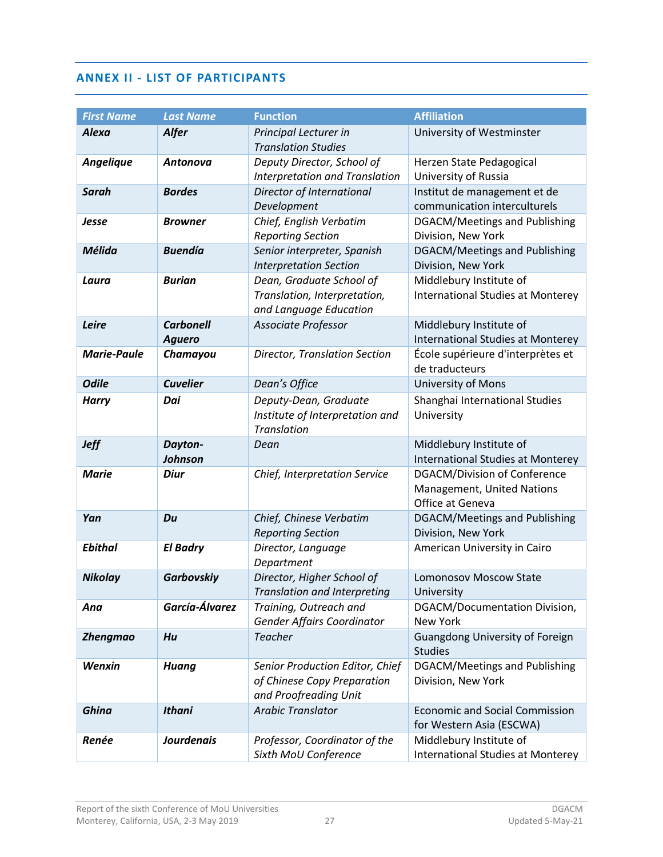#### <span id="page-28-0"></span>**ANNEX II - LIST OF PARTICIPANTS**

| <b>First Name</b>  | <b>Last Name</b>                  | <b>Function</b>                                                                         | <b>Affiliation</b>                                                                    |
|--------------------|-----------------------------------|-----------------------------------------------------------------------------------------|---------------------------------------------------------------------------------------|
| <b>Alexa</b>       | <b>Alfer</b>                      | Principal Lecturer in<br><b>Translation Studies</b>                                     | University of Westminster                                                             |
| <b>Angelique</b>   | Antonova                          | Deputy Director, School of<br><b>Interpretation and Translation</b>                     | Herzen State Pedagogical<br>University of Russia                                      |
| <b>Sarah</b>       | <b>Bordes</b>                     | Director of International<br>Development                                                | Institut de management et de<br>communication interculturels                          |
| Jesse              | <b>Browner</b>                    | Chief, English Verbatim<br><b>Reporting Section</b>                                     | DGACM/Meetings and Publishing<br>Division, New York                                   |
| Mélida             | <b>Buendía</b>                    | Senior interpreter, Spanish<br><b>Interpretation Section</b>                            | DGACM/Meetings and Publishing<br>Division, New York                                   |
| Laura              | <b>Burian</b>                     | Dean, Graduate School of<br>Translation, Interpretation,<br>and Language Education      | Middlebury Institute of<br><b>International Studies at Monterey</b>                   |
| Leire              | <b>Carbonell</b><br><b>Aguero</b> | Associate Professor                                                                     | Middlebury Institute of<br><b>International Studies at Monterey</b>                   |
| <b>Marie-Paule</b> | Chamayou                          | Director, Translation Section                                                           | École supérieure d'interprètes et<br>de traducteurs                                   |
| <b>Odile</b>       | <b>Cuvelier</b>                   | Dean's Office                                                                           | University of Mons                                                                    |
| <b>Harry</b>       | Dai                               | Deputy-Dean, Graduate<br>Institute of Interpretation and<br>Translation                 | Shanghai International Studies<br>University                                          |
| <b>Jeff</b>        | Dayton-<br>Johnson                | Dean                                                                                    | Middlebury Institute of<br><b>International Studies at Monterey</b>                   |
| <b>Marie</b>       | <b>Diur</b>                       | Chief, Interpretation Service                                                           | <b>DGACM/Division of Conference</b><br>Management, United Nations<br>Office at Geneva |
| Yan                | Du                                | Chief, Chinese Verbatim<br><b>Reporting Section</b>                                     | DGACM/Meetings and Publishing<br>Division, New York                                   |
| <b>Ebithal</b>     | <b>El Badry</b>                   | Director, Language<br>Department                                                        | American University in Cairo                                                          |
| <b>Nikolay</b>     | <b>Garbovskiy</b>                 | Director, Higher School of<br>Translation and Interpreting                              | Lomonosov Moscow State<br>University                                                  |
| Ana                | García-Álvarez                    | Training, Outreach and<br>Gender Affairs Coordinator                                    | DGACM/Documentation Division,<br><b>New York</b>                                      |
| <b>Zhengmao</b>    | Hu                                | <b>Teacher</b>                                                                          | Guangdong University of Foreign<br><b>Studies</b>                                     |
| Wenxin             | <b>Huang</b>                      | Senior Production Editor, Chief<br>of Chinese Copy Preparation<br>and Proofreading Unit | DGACM/Meetings and Publishing<br>Division, New York                                   |
| <b>Ghina</b>       | <b>Ithani</b>                     | <b>Arabic Translator</b>                                                                | <b>Economic and Social Commission</b><br>for Western Asia (ESCWA)                     |
| Renée              | <b>Jourdenais</b>                 | Professor, Coordinator of the<br>Sixth MoU Conference                                   | Middlebury Institute of<br><b>International Studies at Monterey</b>                   |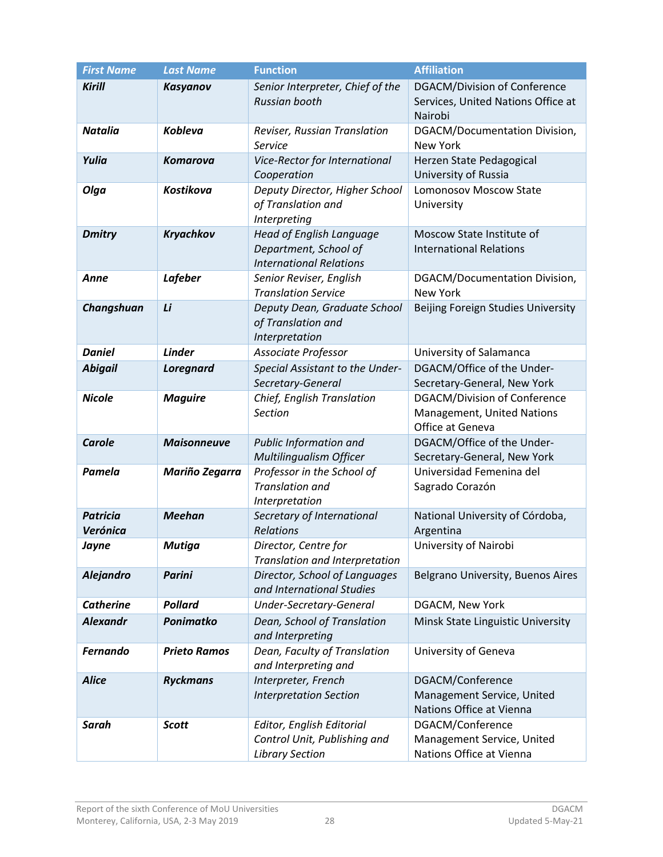| <b>First Name</b>           | <b>Last Name</b>    | <b>Function</b>                                                                     | <b>Affiliation</b>                                                                    |
|-----------------------------|---------------------|-------------------------------------------------------------------------------------|---------------------------------------------------------------------------------------|
| <b>Kirill</b>               | Kasyanov            | Senior Interpreter, Chief of the<br><b>Russian booth</b>                            | <b>DGACM/Division of Conference</b><br>Services, United Nations Office at<br>Nairobi  |
| <b>Natalia</b>              | <b>Kobleva</b>      | Reviser, Russian Translation<br>Service                                             | DGACM/Documentation Division,<br><b>New York</b>                                      |
| Yulia                       | <b>Komarova</b>     | Vice-Rector for International<br>Cooperation                                        | Herzen State Pedagogical<br>University of Russia                                      |
| Olga                        | Kostikova           | Deputy Director, Higher School<br>of Translation and<br>Interpreting                | <b>Lomonosov Moscow State</b><br>University                                           |
| <b>Dmitry</b>               | Kryachkov           | Head of English Language<br>Department, School of<br><b>International Relations</b> | Moscow State Institute of<br><b>International Relations</b>                           |
| Anne                        | <b>Lafeber</b>      | Senior Reviser, English<br><b>Translation Service</b>                               | DGACM/Documentation Division,<br>New York                                             |
| Changshuan                  | Li                  | Deputy Dean, Graduate School<br>of Translation and<br>Interpretation                | Beijing Foreign Studies University                                                    |
| <b>Daniel</b>               | <b>Linder</b>       | Associate Professor                                                                 | University of Salamanca                                                               |
| <b>Abigail</b>              | <b>Loregnard</b>    | Special Assistant to the Under-<br>Secretary-General                                | DGACM/Office of the Under-<br>Secretary-General, New York                             |
| <b>Nicole</b>               | <b>Maguire</b>      | Chief, English Translation<br><b>Section</b>                                        | <b>DGACM/Division of Conference</b><br>Management, United Nations<br>Office at Geneva |
| <b>Carole</b>               | <b>Maisonneuve</b>  | Public Information and<br>Multilingualism Officer                                   | DGACM/Office of the Under-<br>Secretary-General, New York                             |
| Pamela                      | Mariño Zegarra      | Professor in the School of<br><b>Translation and</b><br>Interpretation              | Universidad Femenina del<br>Sagrado Corazón                                           |
| <b>Patricia</b><br>Verónica | <b>Meehan</b>       | Secretary of International<br>Relations                                             | National University of Córdoba,<br>Argentina                                          |
| Jayne                       | <b>Mutiga</b>       | Director, Centre for<br>Translation and Interpretation                              | University of Nairobi                                                                 |
| <b>Alejandro</b>            | <b>Parini</b>       | Director, School of Languages<br>and International Studies                          | Belgrano University, Buenos Aires                                                     |
| <b>Catherine</b>            | <b>Pollard</b>      | Under-Secretary-General                                                             | DGACM, New York                                                                       |
| <b>Alexandr</b>             | Ponimatko           | Dean, School of Translation<br>and Interpreting                                     | Minsk State Linguistic University                                                     |
| <b>Fernando</b>             | <b>Prieto Ramos</b> | Dean, Faculty of Translation<br>and Interpreting and                                | University of Geneva                                                                  |
| <b>Alice</b>                | <b>Ryckmans</b>     | Interpreter, French<br><b>Interpretation Section</b>                                | DGACM/Conference<br>Management Service, United<br>Nations Office at Vienna            |
| Sarah                       | <b>Scott</b>        | Editor, English Editorial<br>Control Unit, Publishing and<br><b>Library Section</b> | DGACM/Conference<br>Management Service, United<br>Nations Office at Vienna            |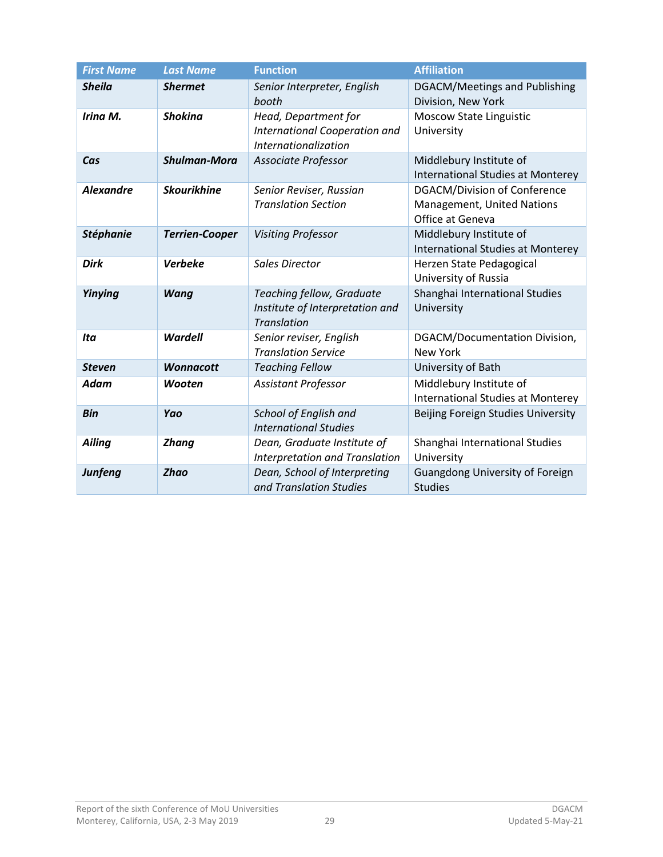| <b>First Name</b> | <b>Last Name</b>      | <b>Function</b>                                                                    | <b>Affiliation</b>                                                                    |
|-------------------|-----------------------|------------------------------------------------------------------------------------|---------------------------------------------------------------------------------------|
| <b>Sheila</b>     | <b>Shermet</b>        | Senior Interpreter, English<br>booth                                               | DGACM/Meetings and Publishing<br>Division, New York                                   |
| Irina M.          | <b>Shokina</b>        | Head, Department for<br>International Cooperation and<br>Internationalization      | <b>Moscow State Linguistic</b><br>University                                          |
| Cas               | <b>Shulman-Mora</b>   | Associate Professor                                                                | Middlebury Institute of<br><b>International Studies at Monterey</b>                   |
| <b>Alexandre</b>  | <b>Skourikhine</b>    | Senior Reviser, Russian<br><b>Translation Section</b>                              | <b>DGACM/Division of Conference</b><br>Management, United Nations<br>Office at Geneva |
| <b>Stéphanie</b>  | <b>Terrien-Cooper</b> | <b>Visiting Professor</b>                                                          | Middlebury Institute of<br><b>International Studies at Monterey</b>                   |
| <b>Dirk</b>       | <b>Verbeke</b>        | <b>Sales Director</b>                                                              | Herzen State Pedagogical<br>University of Russia                                      |
| Yinying           | <b>Wang</b>           | Teaching fellow, Graduate<br>Institute of Interpretation and<br><b>Translation</b> | Shanghai International Studies<br>University                                          |
| Ita               | Wardell               | Senior reviser, English<br><b>Translation Service</b>                              | DGACM/Documentation Division,<br><b>New York</b>                                      |
| <b>Steven</b>     | <b>Wonnacott</b>      | <b>Teaching Fellow</b>                                                             | University of Bath                                                                    |
| Adam              | Wooten                | <b>Assistant Professor</b>                                                         | Middlebury Institute of<br><b>International Studies at Monterey</b>                   |
| <b>Bin</b>        | Yao                   | School of English and<br><b>International Studies</b>                              | Beijing Foreign Studies University                                                    |
| <b>Ailing</b>     | <b>Zhang</b>          | Dean, Graduate Institute of<br>Interpretation and Translation                      | Shanghai International Studies<br>University                                          |
| <b>Junfeng</b>    | <b>Zhao</b>           | Dean, School of Interpreting<br>and Translation Studies                            | <b>Guangdong University of Foreign</b><br><b>Studies</b>                              |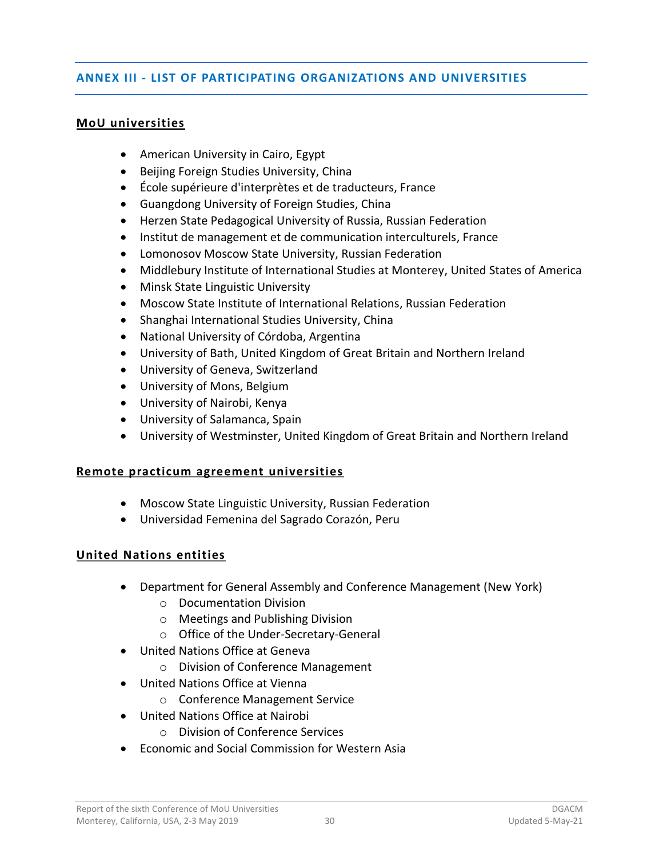### <span id="page-31-0"></span>**ANNEX III - LIST OF PARTICIPATING ORGANIZATIONS AND UNIVERSITIES**

#### **MoU universities**

- American University in Cairo, Egypt
- Beijing Foreign Studies University, China
- École supérieure d'interprètes et de traducteurs, France
- Guangdong University of Foreign Studies, China
- Herzen State Pedagogical University of Russia, Russian Federation
- Institut de management et de communication interculturels, France
- Lomonosov Moscow State University, Russian Federation
- Middlebury Institute of International Studies at Monterey, United States of America
- Minsk State Linguistic University
- Moscow State Institute of International Relations, Russian Federation
- Shanghai International Studies University, China
- National University of Córdoba, Argentina
- University of Bath, United Kingdom of Great Britain and Northern Ireland
- University of Geneva, Switzerland
- University of Mons, Belgium
- University of Nairobi, Kenya
- University of Salamanca, Spain
- University of Westminster, United Kingdom of Great Britain and Northern Ireland

#### **Remote practicum agreement universities**

- Moscow State Linguistic University, Russian Federation
- Universidad Femenina del Sagrado Corazón, Peru

#### **United Nations entities**

- Department for General Assembly and Conference Management (New York)
	- o Documentation Division
	- o Meetings and Publishing Division
	- o Office of the Under-Secretary-General
- United Nations Office at Geneva
	- o Division of Conference Management
- United Nations Office at Vienna
	- o Conference Management Service
- United Nations Office at Nairobi
	- o Division of Conference Services
- Economic and Social Commission for Western Asia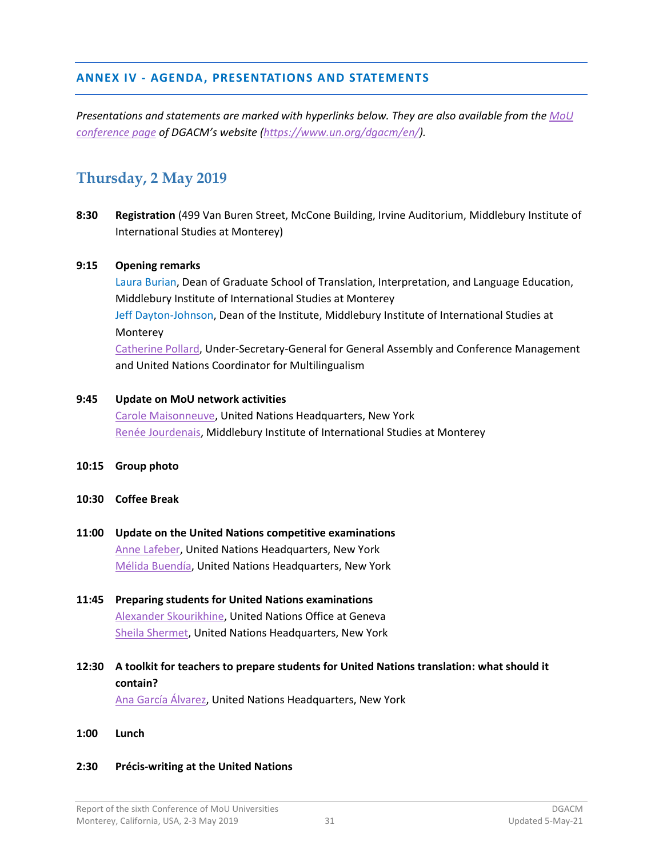#### <span id="page-32-0"></span>**ANNEX IV - AGENDA, PRESENTATIONS AND STATEMENTS**

*Presentations and statements are marked with hyperlinks below. They are also available from th[e MoU](https://www.un.org/dgacm/en/content/mou-network)  [conference page](https://www.un.org/dgacm/en/content/mou-network) of DGACM's website [\(https://www.un.org/dgacm/en/\)](https://www.un.org/dgacm/en/content/mou-network).* 

## **Thursday, 2 May 2019**

**8:30 Registration** (499 Van Buren Street, McCone Building, Irvine Auditorium, Middlebury Institute of International Studies at Monterey)

#### **9:15 Opening remarks**

Laura Burian, Dean of Graduate School of Translation, Interpretation, and Language Education, Middlebury Institute of International Studies at Monterey Jeff Dayton-Johnson, Dean of the Institute, Middlebury Institute of International Studies at Monterey [Catherine Pollard,](https://www.un.org/dgacm/sites/www.un.org.dgacm/files/pdf/Public_statements/usg_opening_statement_6th_mou_02-05-2019.pdf) Under-Secretary-General for General Assembly and Conference Management and United Nations Coordinator for Multilingualism

#### **9:45 Update on MoU network activities**

[Carole Maisonneuve,](https://www.un.org/dgacm/sites/www.un.org.dgacm/files/carole_maisonneuve.pdf) United Nations Headquarters, New York [Renée Jourdenais,](https://www.un.org/dgacm/sites/www.un.org.dgacm/files/renee_jourdenais.pdf) Middlebury Institute of International Studies at Monterey

- **10:15 Group photo**
- **10:30 Coffee Break**
- **11:00 Update on the United Nations competitive examinations** [Anne Lafeber,](https://www.un.org/dgacm/sites/www.un.org.dgacm/files/anne_lafeber.pdf) United Nations Headquarters, New York [Mélida Buendía,](https://www.un.org/dgacm/sites/www.un.org.dgacm/files/melida_buendia.pdf) United Nations Headquarters, New York
- **11:45 Preparing students for United Nations examinations** [Alexander Skourikhine,](https://www.un.org/dgacm/sites/www.un.org.dgacm/files/alexandre_skourikhine.pdf) United Nations Office at Geneva [Sheila Shermet,](https://www.un.org/dgacm/sites/www.un.org.dgacm/files/sheila_shermet_presentation_1.pdf) United Nations Headquarters, New York
- **12:30 A toolkit for teachers to prepare students for United Nations translation: what should it contain?**

[Ana García Álvarez,](https://www.un.org/dgacm/sites/www.un.org.dgacm/files/ana_garcia_alvarez_revised.pdf) United Nations Headquarters, New York

**1:00 Lunch**

#### **2:30 Précis-writing at the United Nations**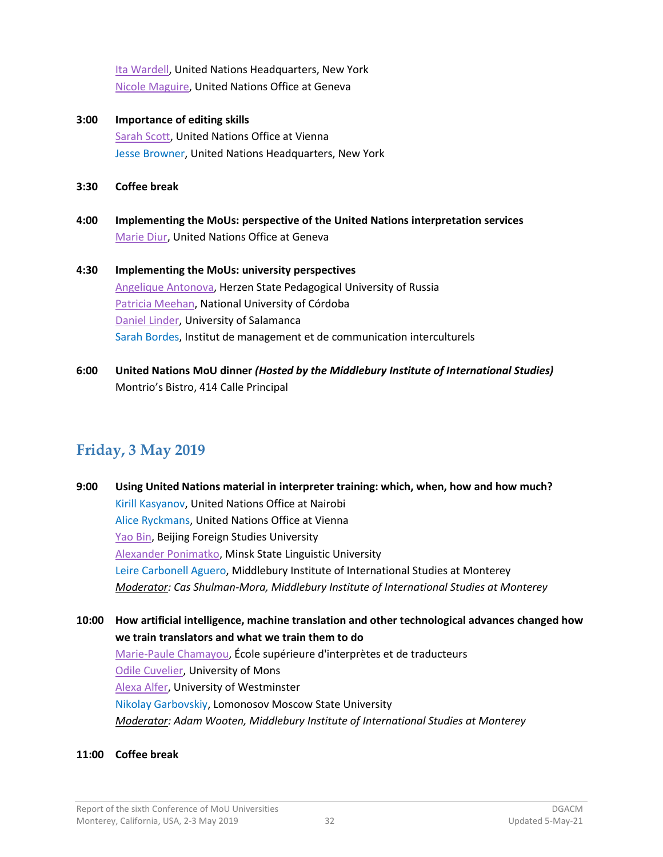[Ita Wardell,](https://www.un.org/dgacm/sites/www.un.org.dgacm/files/ita_wardell_nicole_maguire.pdf) United Nations Headquarters, New York [Nicole Maguire,](https://www.un.org/dgacm/sites/www.un.org.dgacm/files/ita_wardell_nicole_maguire.pdf) United Nations Office at Geneva

- **3:00 Importance of editing skills** [Sarah Scott,](https://www.un.org/dgacm/sites/www.un.org.dgacm/files/sarah_scott.pdf) United Nations Office at Vienna Jesse Browner, United Nations Headquarters, New York
- **3:30 Coffee break**
- **4:00 Implementing the MoUs: perspective of the United Nations interpretation services** [Marie Diur,](https://youtu.be/uflbY0OGYlo) United Nations Office at Geneva
- **4:30 Implementing the MoUs: university perspectives** [Angelique Antonova,](https://www.un.org/dgacm/sites/www.un.org.dgacm/files/angelique_antonova.pdf) Herzen State Pedagogical University of Russia [Patricia Meehan,](https://www.un.org/dgacm/sites/www.un.org.dgacm/files/patricia_meehan.pdf) National University of Córdoba [Daniel Linder,](https://www.un.org/dgacm/sites/www.un.org.dgacm/files/daniel_linder.pdf) University of Salamanca Sarah Bordes, Institut de management et de communication interculturels
- **6:00 United Nations MoU dinner** *(Hosted by the Middlebury Institute of International Studies)* Montrio's Bistro, 414 Calle Principal

## **Friday, 3 May 2019**

**9:00 Using United Nations material in interpreter training: which, when, how and how much?** Kirill Kasyanov, United Nations Office at Nairobi Alice Ryckmans, United Nations Office at Vienna [Yao Bin,](https://www.un.org/dgacm/sites/www.un.org.dgacm/files/yao_bin.pdf) Beijing Foreign Studies University [Alexander Ponimatko,](https://www.un.org/dgacm/sites/www.un.org.dgacm/files/alexander_ponimatko.pdf) Minsk State Linguistic University Leire Carbonell Aguero, Middlebury Institute of International Studies at Monterey *Moderator: Cas Shulman-Mora, Middlebury Institute of International Studies at Monterey*

**10:00 How artificial intelligence, machine translation and other technological advances changed how we train translators and what we train them to do** [Marie-Paule Chamayou,](https://www.un.org/dgacm/sites/www.un.org.dgacm/files/marie-paule_chamayou.pdf) École supérieure d'interprètes et de traducteurs [Odile Cuvelier,](https://www.un.org/dgacm/sites/www.un.org.dgacm/files/odile_cuvelier.pdf) University of Mons [Alexa Alfer,](https://www.un.org/dgacm/sites/www.un.org.dgacm/files/alexa_alfer.pdf) University of Westminster Nikolay Garbovskiy, Lomonosov Moscow State University *Moderator: Adam Wooten, Middlebury Institute of International Studies at Monterey*

#### **11:00 Coffee break**